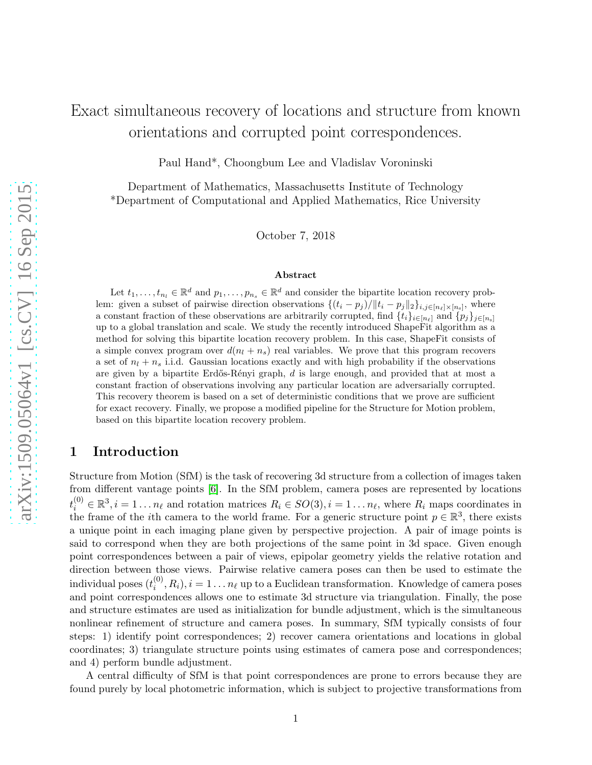# Exact simultaneous recovery of locations and structure from known orientations and corrupted point correspondences.

Paul Hand\*, Choongbum Lee and Vladislav Voroninski

Department of Mathematics, Massachusetts Institute of Technology \*Department of Computational and Applied Mathematics, Rice University

October 7, 2018

#### Abstract

Let  $t_1, \ldots, t_{n_l} \in \mathbb{R}^d$  and  $p_1, \ldots, p_{n_s} \in \mathbb{R}^d$  and consider the bipartite location recovery problem: given a subset of pairwise direction observations  $\{(t_i - p_j)/\|t_i - p_j\|_2\}_{i,j\in[n_\ell]\times[n_s]},$  where a constant fraction of these observations are arbitrarily corrupted, find  $\{t_i\}_{i\in[n_\ell]}$  and  $\{p_j\}_{j\in[n_s]}$ up to a global translation and scale. We study the recently introduced ShapeFit algorithm as a method for solving this bipartite location recovery problem. In this case, ShapeFit consists of a simple convex program over  $d(n_l + n_s)$  real variables. We prove that this program recovers a set of  $n_l + n_s$  i.i.d. Gaussian locations exactly and with high probability if the observations are given by a bipartite Erdős-Rényi graph,  $d$  is large enough, and provided that at most a constant fraction of observations involving any particular location are adversarially corrupted. This recovery theorem is based on a set of deterministic conditions that we prove are sufficient for exact recovery. Finally, we propose a modified pipeline for the Structure for Motion problem, based on this bipartite location recovery problem.

# 1 Introduction

Structure from Motion (SfM) is the task of recovering 3d structure from a collection of images taken from different vantage points [\[6\]](#page-26-0). In the SfM problem, camera poses are represented by locations  $t_i^{(0)} \in \mathbb{R}^3, i = 1 \dots n_\ell$  and rotation matrices  $R_i \in SO(3), i = 1 \dots n_\ell$ , where  $R_i$  maps coordinates in the frame of the *i*th camera to the world frame. For a generic structure point  $p \in \mathbb{R}^3$ , there exists a unique point in each imaging plane given by perspective projection. A pair of image points is said to correspond when they are both projections of the same point in 3d space. Given enough point correspondences between a pair of views, epipolar geometry yields the relative rotation and direction between those views. Pairwise relative camera poses can then be used to estimate the individual poses  $(t_i^{(0)})$  $i^{(0)}, R_i$ ,  $i = 1...n_{\ell}$  up to a Euclidean transformation. Knowledge of camera poses and point correspondences allows one to estimate 3d structure via triangulation. Finally, the pose and structure estimates are used as initialization for bundle adjustment, which is the simultaneous nonlinear refinement of structure and camera poses. In summary, SfM typically consists of four steps: 1) identify point correspondences; 2) recover camera orientations and locations in global coordinates; 3) triangulate structure points using estimates of camera pose and correspondences; and 4) perform bundle adjustment.

A central difficulty of SfM is that point correspondences are prone to errors because they are found purely by local photometric information, which is subject to projective transformations from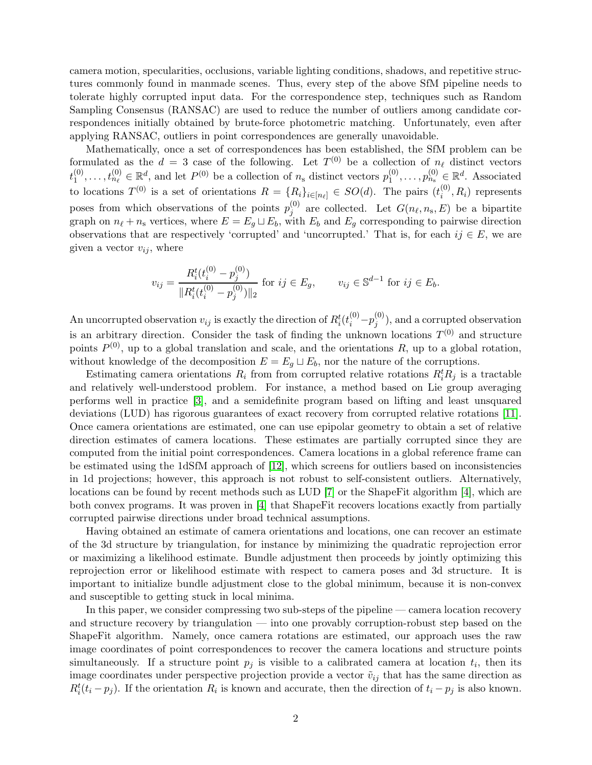camera motion, specularities, occlusions, variable lighting conditions, shadows, and repetitive structures commonly found in manmade scenes. Thus, every step of the above SfM pipeline needs to tolerate highly corrupted input data. For the correspondence step, techniques such as Random Sampling Consensus (RANSAC) are used to reduce the number of outliers among candidate correspondences initially obtained by brute-force photometric matching. Unfortunately, even after applying RANSAC, outliers in point correspondences are generally unavoidable.

Mathematically, once a set of correspondences has been established, the SfM problem can be formulated as the  $d = 3$  case of the following. Let  $T^{(0)}$  be a collection of  $n_{\ell}$  distinct vectors  $t_1^{(0)}$  $t_1^{(0)}, \ldots, t_{n_\ell}^{(0)} \in \mathbb{R}^d$ , and let  $P^{(0)}$  be a collection of  $n_s$  distinct vectors  $p_1^{(0)}$  $p_1^{(0)}, \ldots, p_{n_s}^{(0)} \in \mathbb{R}^d$ . Associated to locations  $T^{(0)}$  is a set of orientations  $R = \{R_i\}_{i \in [n_\ell]} \in SO(d)$ . The pairs  $(t_i^{(0)})$  $i^{(0)}, R_i$  represents poses from which observations of the points  $p_i^{(0)}$  $j^{(0)}$  are collected. Let  $G(n_{\ell}, n_{\rm s}, E)$  be a bipartite graph on  $n_{\ell} + n_s$  vertices, where  $E = E_g \sqcup E_b$ , with  $E_b$  and  $E_g$  corresponding to pairwise direction observations that are respectively 'corrupted' and 'uncorrupted.' That is, for each  $ij \in E$ , we are given a vector  $v_{ij}$ , where

$$
v_{ij} = \frac{R_i^t(t_i^{(0)} - p_j^{(0)})}{\|R_i^t(t_i^{(0)} - p_j^{(0)})\|_2} \text{ for } ij \in E_g, \qquad v_{ij} \in \mathbb{S}^{d-1} \text{ for } ij \in E_b.
$$

An uncorrupted observation  $v_{ij}$  is exactly the direction of  $R_i^t(t_i^{(0)}-p_j^{(0)}$  $j^{(0)}_j$ , and a corrupted observation is an arbitrary direction. Consider the task of finding the unknown locations  $T^{(0)}$  and structure points  $P^{(0)}$ , up to a global translation and scale, and the orientations R, up to a global rotation, without knowledge of the decomposition  $E = E<sub>g</sub> \sqcup E<sub>b</sub>$ , nor the nature of the corruptions.

Estimating camera orientations  $R_i$  from from corrupted relative rotations  $R_i^t R_j$  is a tractable and relatively well-understood problem. For instance, a method based on Lie group averaging performs well in practice [\[3\]](#page-26-1), and a semidefinite program based on lifting and least unsquared deviations (LUD) has rigorous guarantees of exact recovery from corrupted relative rotations [\[11\]](#page-26-2). Once camera orientations are estimated, one can use epipolar geometry to obtain a set of relative direction estimates of camera locations. These estimates are partially corrupted since they are computed from the initial point correspondences. Camera locations in a global reference frame can be estimated using the 1dSfM approach of [\[12\]](#page-26-3), which screens for outliers based on inconsistencies in 1d projections; however, this approach is not robust to self-consistent outliers. Alternatively, locations can be found by recent methods such as LUD [\[7\]](#page-26-4) or the ShapeFit algorithm [\[4\]](#page-26-5), which are both convex programs. It was proven in [\[4\]](#page-26-5) that ShapeFit recovers locations exactly from partially corrupted pairwise directions under broad technical assumptions.

Having obtained an estimate of camera orientations and locations, one can recover an estimate of the 3d structure by triangulation, for instance by minimizing the quadratic reprojection error or maximizing a likelihood estimate. Bundle adjustment then proceeds by jointly optimizing this reprojection error or likelihood estimate with respect to camera poses and 3d structure. It is important to initialize bundle adjustment close to the global minimum, because it is non-convex and susceptible to getting stuck in local minima.

In this paper, we consider compressing two sub-steps of the pipeline — camera location recovery and structure recovery by triangulation — into one provably corruption-robust step based on the ShapeFit algorithm. Namely, once camera rotations are estimated, our approach uses the raw image coordinates of point correspondences to recover the camera locations and structure points simultaneously. If a structure point  $p_j$  is visible to a calibrated camera at location  $t_i$ , then its image coordinates under perspective projection provide a vector  $\tilde{v}_{ij}$  that has the same direction as  $R_i^t(t_i - p_j)$ . If the orientation  $R_i$  is known and accurate, then the direction of  $t_i - p_j$  is also known.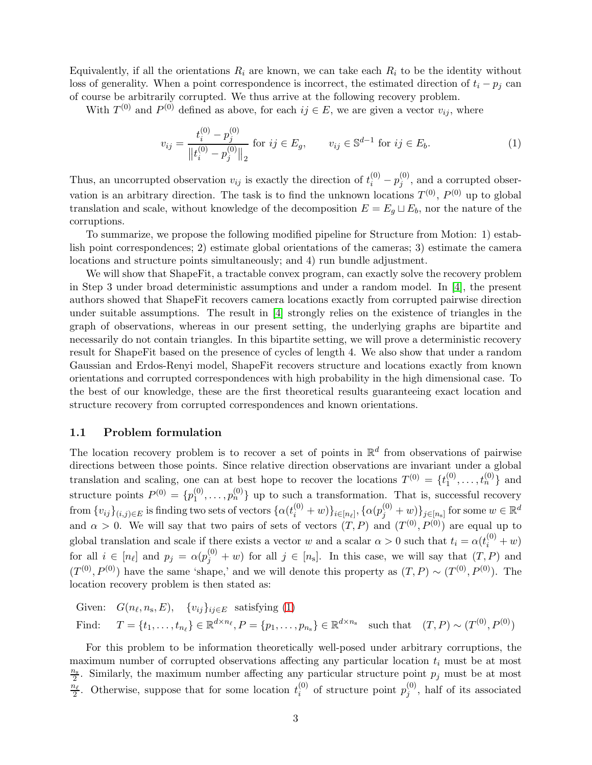Equivalently, if all the orientations  $R_i$  are known, we can take each  $R_i$  to be the identity without loss of generality. When a point correspondence is incorrect, the estimated direction of  $t_i - p_j$  can of course be arbitrarily corrupted. We thus arrive at the following recovery problem.

With  $T^{(0)}$  and  $P^{(0)}$  defined as above, for each  $ij \in E$ , we are given a vector  $v_{ij}$ , where

<span id="page-2-0"></span>
$$
v_{ij} = \frac{t_i^{(0)} - p_j^{(0)}}{\left\| t_i^{(0)} - p_j^{(0)} \right\|_2} \text{ for } ij \in E_g, \qquad v_{ij} \in \mathbb{S}^{d-1} \text{ for } ij \in E_b.
$$
 (1)

Thus, an uncorrupted observation  $v_{ij}$  is exactly the direction of  $t_i^{(0)} - p_j^{(0)}$  $j_j^{(0)}$ , and a corrupted observation is an arbitrary direction. The task is to find the unknown locations  $T^{(0)}$ ,  $P^{(0)}$  up to global translation and scale, without knowledge of the decomposition  $E = E<sub>g</sub> \sqcup E<sub>b</sub>$ , nor the nature of the corruptions.

To summarize, we propose the following modified pipeline for Structure from Motion: 1) establish point correspondences; 2) estimate global orientations of the cameras; 3) estimate the camera locations and structure points simultaneously; and 4) run bundle adjustment.

We will show that ShapeFit, a tractable convex program, can exactly solve the recovery problem in Step 3 under broad deterministic assumptions and under a random model. In [\[4\]](#page-26-5), the present authors showed that ShapeFit recovers camera locations exactly from corrupted pairwise direction under suitable assumptions. The result in [\[4\]](#page-26-5) strongly relies on the existence of triangles in the graph of observations, whereas in our present setting, the underlying graphs are bipartite and necessarily do not contain triangles. In this bipartite setting, we will prove a deterministic recovery result for ShapeFit based on the presence of cycles of length 4. We also show that under a random Gaussian and Erdos-Renyi model, ShapeFit recovers structure and locations exactly from known orientations and corrupted correspondences with high probability in the high dimensional case. To the best of our knowledge, these are the first theoretical results guaranteeing exact location and structure recovery from corrupted correspondences and known orientations.

## 1.1 Problem formulation

The location recovery problem is to recover a set of points in  $\mathbb{R}^d$  from observations of pairwise directions between those points. Since relative direction observations are invariant under a global translation and scaling, one can at best hope to recover the locations  $T^{(0)} = \{t_1^{(0)}\}$  $t_1^{(0)}, \ldots, t_n^{(0)}$  and structure points  $P^{(0)} = \{p_1^{(0)}\}$  $\{0, \ldots, p_n^{(0)}\}$  up to such a transformation. That is, successful recovery  $\text{ from } \{v_{ij}\}_{(i,j)\in E} \text{ is finding two sets of vectors } \{\alpha(t_i^{(0)}+w)\}_{i\in [n_\ell]}, \{\alpha(p_j^{(0)}+w)\}_{j\in [n_\text{s}]} \text{ for some } w\in \mathbb{R}^d$ and  $\alpha > 0$ . We will say that two pairs of sets of vectors  $(T, P)$  and  $(T^{(0)}, P^{(0)})$  are equal up to global translation and scale if there exists a vector w and a scalar  $\alpha > 0$  such that  $t_i = \alpha(t_i^{(0)} + w)$ for all  $i \in [n_\ell]$  and  $p_j = \alpha(p_j^{(0)} + w)$  for all  $j \in [n_s]$ . In this case, we will say that  $(T, P)$  and  $(T^{(0)}, P^{(0)})$  have the same 'shape,' and we will denote this property as  $(T, P) \sim (T^{(0)}, P^{(0)})$ . The location recovery problem is then stated as:

Given: 
$$
G(n_\ell, n_s, E)
$$
,  $\{v_{ij}\}_{ij \in E}$  satisfying (1)  
Find:  $T = \{t_1, \ldots, t_{n_\ell}\} \in \mathbb{R}^{d \times n_\ell}, P = \{p_1, \ldots, p_{n_s}\} \in \mathbb{R}^{d \times n_s}$  such that  $(T, P) \sim (T^{(0)}, P^{(0)})$ 

For this problem to be information theoretically well-posed under arbitrary corruptions, the maximum number of corrupted observations affecting any particular location  $t_i$  must be at most  $\frac{n_s}{2}$ . Similarly, the maximum number affecting any particular structure point  $p_j$  must be at most  $\frac{n_{\ell}}{2}$ . Otherwise, suppose that for some location  $t_i^{(0)}$  $i^{(0)}$  of structure point  $p_j^{(0)}$  $j^{(0)}$ , half of its associated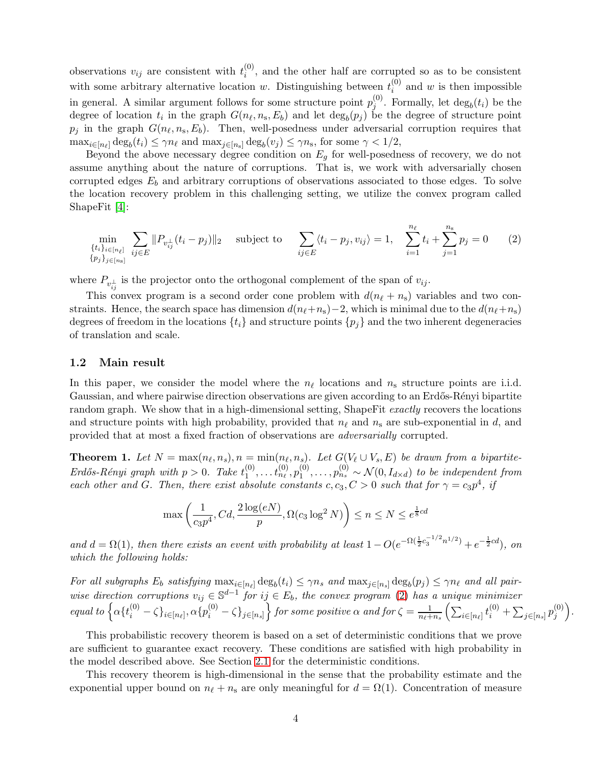observations  $v_{ij}$  are consistent with  $t_i^{(0)}$  $i^{(0)}$ , and the other half are corrupted so as to be consistent with some arbitrary alternative location w. Distinguishing between  $t_i^{(0)}$  $i^{(0)}$  and w is then impossible in general. A similar argument follows for some structure point  $p_i^{(0)}$  $j^{(0)}$ . Formally, let  $\deg_b(t_i)$  be the degree of location  $t_i$  in the graph  $G(n_\ell, n_s, E_b)$  and let  $\deg_b(p_j)$  be the degree of structure point  $p_j$  in the graph  $G(n_\ell, n_s, E_b)$ . Then, well-posedness under adversarial corruption requires that  $\max_{i \in [n_\ell]} \deg_b(t_i) \leq \gamma n_\ell$  and  $\max_{j \in [n_s]} \deg_b(v_j) \leq \gamma n_s$ , for some  $\gamma < 1/2$ ,

Beyond the above necessary degree condition on  $E_q$  for well-posedness of recovery, we do not assume anything about the nature of corruptions. That is, we work with adversarially chosen corrupted edges  $E_b$  and arbitrary corruptions of observations associated to those edges. To solve the location recovery problem in this challenging setting, we utilize the convex program called ShapeFit [\[4\]](#page-26-5):

<span id="page-3-0"></span>
$$
\min_{\{t_i\}_{i \in [n_{\ell}]}} \sum_{ij \in E} ||P_{v_{ij}^{\perp}}(t_i - p_j)||_2 \quad \text{subject to} \quad \sum_{ij \in E} \langle t_i - p_j, v_{ij} \rangle = 1, \quad \sum_{i=1}^{n_{\ell}} t_i + \sum_{j=1}^{n_{\rm s}} p_j = 0 \quad (2)
$$

where  $P_{v_{ij}^{\perp}}$  is the projector onto the orthogonal complement of the span of  $v_{ij}$ .

This convex program is a second order cone problem with  $d(n_\ell + n_s)$  variables and two constraints. Hence, the search space has dimension  $d(n_f+n_s)-2$ , which is minimal due to the  $d(n_f+n_s)$ degrees of freedom in the locations  $\{t_i\}$  and structure points  $\{p_i\}$  and the two inherent degeneracies of translation and scale.

#### 1.2 Main result

In this paper, we consider the model where the  $n_{\ell}$  locations and  $n_{s}$  structure points are i.i.d. Gaussian, and where pairwise direction observations are given according to an Erdős-Rényi bipartite random graph. We show that in a high-dimensional setting, ShapeFit *exactly* recovers the locations and structure points with high probability, provided that  $n_{\ell}$  and  $n_{\rm s}$  are sub-exponential in d, and provided that at most a fixed fraction of observations are *adversarially* corrupted.

**Theorem 1.** Let  $N = \max(n_\ell, n_s)$ ,  $n = \min(n_\ell, n_s)$ . Let  $G(V_\ell \cup V_s, E)$  be drawn from a bipartite- $Erd\H{o}s-R\thinspace\acute{e}nyi$  graph with  $p>0$ . Take  $t_1^{(0)}$  $t_1^{(0)}, \ldots t_{n_\ell}^{(0)}, p_1^{(0)}$  $\mathcal{L}_1^{(0)}, \ldots, \mathcal{p}_{n_s}^{(0)} \sim \mathcal{N}(0, I_{d \times d})$  to be independent from *each other and* G. Then, there exist absolute constants  $c, c_3, C > 0$  such that for  $\gamma = c_3 p^4$ , if

$$
\max\left(\frac{1}{c_3 p^4}, Cd, \frac{2\log(eN)}{p}, \Omega(c_3 \log^2 N)\right) \le n \le N \le e^{\frac{1}{8}cd}
$$

and  $d = \Omega(1)$ , then there exists an event with probability at least  $1 - O(e^{-\Omega(\frac{1}{2}c_3^{-1/2}n^{1/2})} + e^{-\frac{1}{2}cd})$ , on *which the following holds:*

*For all subgraphs*  $E_b$  *satisfying*  $\max_{i \in [n_\ell]} \deg_b(t_i) \leq \gamma n_s$  *and*  $\max_{j \in [n_s]} \deg_b(p_j) \leq \gamma n_\ell$  *and all pairwise direction corruptions*  $v_{ij} \in \mathbb{S}^{d-1}$  *for*  $ij \in E_b$ *, the convex program* [\(2\)](#page-3-0) *has a unique minimizer*  $equal\ to\ \Big\{\alpha\{t_i^{(0)}-\zeta\}_{i\in[n_\ell]}, \alpha\{p_i^{(0)}-\zeta\}_{j\in[n_s]}\Big\} \ for\ some\ positive\ \alpha\ and\ for\ \zeta=\frac{1}{n_\ell+1}$  $\frac{1}{n_{\ell}+n_s}\left(\sum_{i\in[n_{\ell}]}t_i^{(0)}+\sum_{j\in[n_s]}p_j^{(0)}\right)$  $\binom{(0)}{j}$ .

This probabilistic recovery theorem is based on a set of deterministic conditions that we prove are sufficient to guarantee exact recovery. These conditions are satisfied with high probability in the model described above. See Section [2.1](#page-5-0) for the deterministic conditions.

This recovery theorem is high-dimensional in the sense that the probability estimate and the exponential upper bound on  $n_{\ell} + n_{\rm s}$  are only meaningful for  $d = \Omega(1)$ . Concentration of measure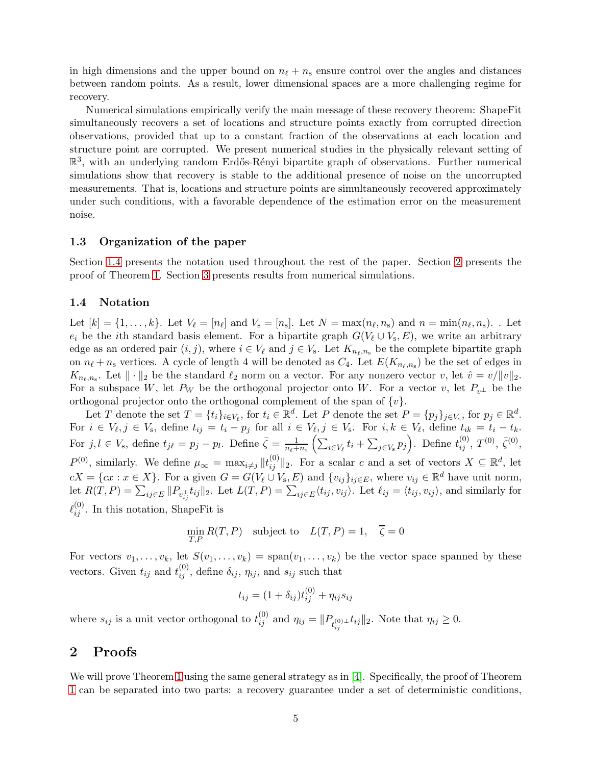in high dimensions and the upper bound on  $n_{\ell} + n_{\rm s}$  ensure control over the angles and distances between random points. As a result, lower dimensional spaces are a more challenging regime for recovery.

Numerical simulations empirically verify the main message of these recovery theorem: ShapeFit simultaneously recovers a set of locations and structure points exactly from corrupted direction observations, provided that up to a constant fraction of the observations at each location and structure point are corrupted. We present numerical studies in the physically relevant setting of  $\mathbb{R}^3$ , with an underlying random Erdős-Rényi bipartite graph of observations. Further numerical simulations show that recovery is stable to the additional presence of noise on the uncorrupted measurements. That is, locations and structure points are simultaneously recovered approximately under such conditions, with a favorable dependence of the estimation error on the measurement noise.

#### 1.3 Organization of the paper

Section [1.4](#page-4-0) presents the notation used throughout the rest of the paper. Section [2](#page-4-1) presents the proof of Theorem [1.](#page-23-0) Section [3](#page-23-1) presents results from numerical simulations.

## <span id="page-4-0"></span>1.4 Notation

Let  $[k] = \{1, \ldots, k\}$ . Let  $V_{\ell} = [n_{\ell}]$  and  $V_{s} = [n_{s}]$ . Let  $N = \max(n_{\ell}, n_{s})$  and  $n = \min(n_{\ell}, n_{s})$ . Let  $e_i$  be the *i*th standard basis element. For a bipartite graph  $G(V_\ell \cup V_s, E)$ , we write an arbitrary edge as an ordered pair  $(i, j)$ , where  $i \in V_{\ell}$  and  $j \in V_{s}$ . Let  $K_{n_{\ell},n_{s}}$  be the complete bipartite graph on  $n_{\ell} + n_{\rm s}$  vertices. A cycle of length 4 will be denoted as  $C_4$ . Let  $E(K_{n_{\ell},n_{\rm s}})$  be the set of edges in  $K_{n_{\ell},n_{\rm s}}$ . Let  $\|\cdot\|_2$  be the standard  $\ell_2$  norm on a vector. For any nonzero vector v, let  $\hat{v}=v/\|v\|_2$ . For a subspace W, let  $P_W$  be the orthogonal projector onto W. For a vector v, let  $P_{v^{\perp}}$  be the orthogonal projector onto the orthogonal complement of the span of  $\{v\}$ .

Let T denote the set  $T = \{t_i\}_{i \in V_\ell}$ , for  $t_i \in \mathbb{R}^d$ . Let P denote the set  $P = \{p_j\}_{j \in V_s}$ , for  $p_j \in \mathbb{R}^d$ . For  $i \in V_{\ell}, j \in V_{\rm s}$ , define  $t_{ij} = t_i - p_j$  for all  $i \in V_{\ell}, j \in V_{\rm s}$ . For  $i, k \in V_{\ell}$ , define  $t_{ik} = t_i - t_k$ . For  $j, l \in V_s$ , define  $t_{j\ell} = p_j - p_l$ . Define  $\bar{\zeta} = \frac{1}{n_{\ell}+1}$  $\frac{1}{n_{\ell}+n_{\rm s}}\left(\sum_{i\in V_{\ell}}t_i+\sum_{j\in V_{\rm s}}p_j\right)$ . Define  $t_{ij}^{(0)}, T^{(0)}, \bar{\zeta}^{(0)},$  $P^{(0)}$ , similarly. We define  $\mu_{\infty} = \max_{i \neq j} ||t_{ij}^{(0)}||_2$ . For a scalar c and a set of vectors  $X \subseteq \mathbb{R}^d$ , let  $cX = \{cx : x \in X\}$ . For a given  $G = G(V_\ell \cup V_s, E)$  and  $\{v_{ij}\}_{ij \in E}$ , where  $v_{ij} \in \mathbb{R}^d$  have unit norm, let  $R(T, P) = \sum_{ij \in E} ||P_{v_{ij}^{\perp}} t_{ij}||_2$ . Let  $L(T, P) = \sum_{ij \in E} \langle t_{ij}, v_{ij} \rangle$ . Let  $\ell_{ij} = \langle t_{ij}, v_{ij} \rangle$ , and similarly for  $\ell_{ij}^{(0)}$ . In this notation, ShapeFit is

$$
\min_{T,P} R(T,P) \quad \text{subject to} \quad L(T,P) = 1, \quad \overline{\zeta} = 0
$$

For vectors  $v_1, \ldots, v_k$ , let  $S(v_1, \ldots, v_k) = \text{span}(v_1, \ldots, v_k)$  be the vector space spanned by these vectors. Given  $t_{ij}$  and  $t_{ij}^{(0)}$ , define  $\delta_{ij}$ ,  $\eta_{ij}$ , and  $s_{ij}$  such that

$$
t_{ij} = (1 + \delta_{ij})t_{ij}^{(0)} + \eta_{ij}s_{ij}
$$

where  $s_{ij}$  is a unit vector orthogonal to  $t_{ij}^{(0)}$  and  $\eta_{ij} = ||P_{t_{ij}^{(0)} \perp} t_{ij}||_2$ . Note that  $\eta_{ij} \geq 0$ .

# <span id="page-4-1"></span>2 Proofs

We will prove Theorem [1](#page-23-0) using the same general strategy as in [\[4\]](#page-26-5). Specifically, the proof of Theorem [1](#page-23-0) can be separated into two parts: a recovery guarantee under a set of deterministic conditions,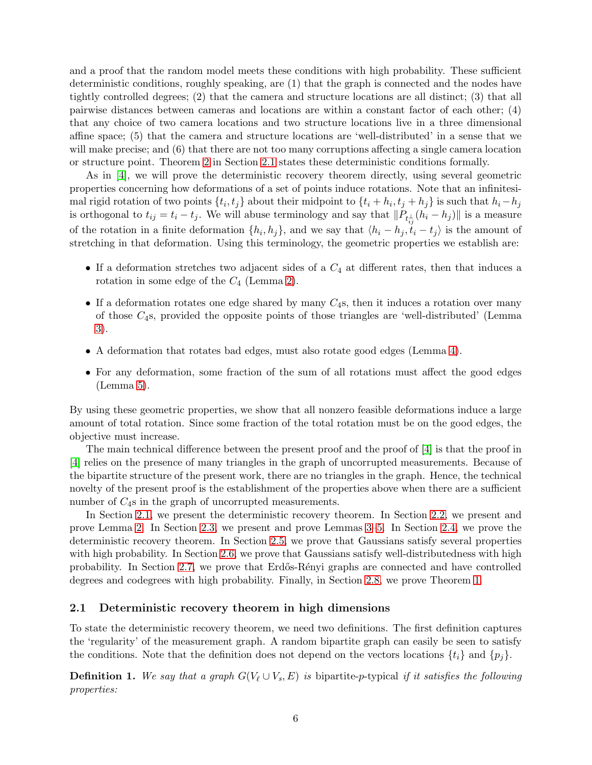and a proof that the random model meets these conditions with high probability. These sufficient deterministic conditions, roughly speaking, are (1) that the graph is connected and the nodes have tightly controlled degrees; (2) that the camera and structure locations are all distinct; (3) that all pairwise distances between cameras and locations are within a constant factor of each other; (4) that any choice of two camera locations and two structure locations live in a three dimensional affine space; (5) that the camera and structure locations are 'well-distributed' in a sense that we will make precise; and (6) that there are not too many corruptions affecting a single camera location or structure point. Theorem [2](#page-6-0) in Section [2.1](#page-5-0) states these deterministic conditions formally.

As in [\[4\]](#page-26-5), we will prove the deterministic recovery theorem directly, using several geometric properties concerning how deformations of a set of points induce rotations. Note that an infinitesimal rigid rotation of two points  $\{t_i, t_j\}$  about their midpoint to  $\{t_i + h_i, t_j + h_j\}$  is such that  $h_i - h_j$ is orthogonal to  $t_{ij} = t_i - t_j$ . We will abuse terminology and say that  $||P_{t_{ij}^{\perp}}(h_i - h_j)||$  is a measure of the rotation in a finite deformation  $\{h_i, h_j\}$ , and we say that  $\langle h_i - h_j, t_i - t_j \rangle$  is the amount of stretching in that deformation. Using this terminology, the geometric properties we establish are:

- If a deformation stretches two adjacent sides of a  $C_4$  at different rates, then that induces a rotation in some edge of the  $C_4$  (Lemma [2\)](#page-7-0).
- If a deformation rotates one edge shared by many  $C_4$ s, then it induces a rotation over many of those  $C_{4}$ s, provided the opposite points of those triangles are 'well-distributed' (Lemma [3\)](#page-7-1).
- A deformation that rotates bad edges, must also rotate good edges (Lemma [4\)](#page-8-0).
- For any deformation, some fraction of the sum of all rotations must affect the good edges (Lemma [5\)](#page-9-0).

By using these geometric properties, we show that all nonzero feasible deformations induce a large amount of total rotation. Since some fraction of the total rotation must be on the good edges, the objective must increase.

The main technical difference between the present proof and the proof of [\[4\]](#page-26-5) is that the proof in [\[4\]](#page-26-5) relies on the presence of many triangles in the graph of uncorrupted measurements. Because of the bipartite structure of the present work, there are no triangles in the graph. Hence, the technical novelty of the present proof is the establishment of the properties above when there are a sufficient number of  $C_4$ s in the graph of uncorrupted measurements.

In Section [2.1,](#page-5-0) we present the deterministic recovery theorem. In Section [2.2,](#page-7-2) we present and prove Lemma [2.](#page-7-0) In Section [2.3,](#page-7-3) we present and prove Lemmas [3–](#page-7-1)[5.](#page-9-0) In Section [2.4,](#page-10-0) we prove the deterministic recovery theorem. In Section [2.5,](#page-14-0) we prove that Gaussians satisfy several properties with high probability. In Section [2.6,](#page-16-0) we prove that Gaussians satisfy well-distributedness with high probability. In Section [2.7,](#page-22-0) we prove that Erd˝os-R´enyi graphs are connected and have controlled degrees and codegrees with high probability. Finally, in Section [2.8,](#page-23-2) we prove Theorem [1.](#page-23-0)

## <span id="page-5-0"></span>2.1 Deterministic recovery theorem in high dimensions

To state the deterministic recovery theorem, we need two definitions. The first definition captures the 'regularity' of the measurement graph. A random bipartite graph can easily be seen to satisfy the conditions. Note that the definition does not depend on the vectors locations  $\{t_i\}$  and  $\{p_i\}$ .

**Definition 1.** We say that a graph  $G(V_\ell \cup V_s, E)$  is bipartite-p-typical if it satisfies the following *properties:*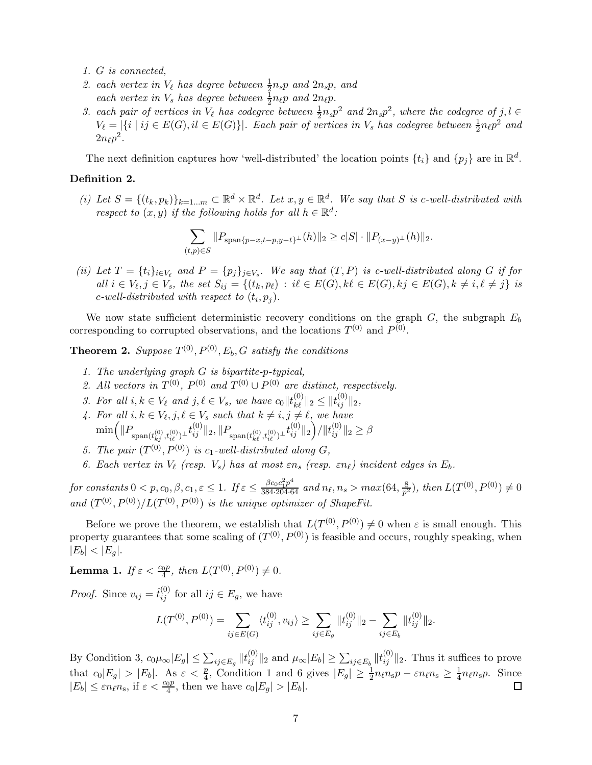- *1.* G *is connected,*
- 2. each vertex in  $V_{\ell}$  has degree between  $\frac{1}{2}n_s p$  and  $2n_s p$ , and *each vertex in*  $V_s$  *has degree between*  $\frac{1}{2}n_{\ell}p$  *and*  $2n_{\ell}p$ *.*
- 3. each pair of vertices in  $V_{\ell}$  has codegree between  $\frac{1}{2}n_s p^2$  and  $2n_s p^2$ , where the codegree of  $j, l \in$  $V_{\ell} = |\{i \mid ij \in E(G), il \in E(G)\}|$ . Each pair of vertices in  $V_s$  has codegree between  $\frac{1}{2}n_{\ell}p^2$  and  $2n_{\ell}p^2$ .

The next definition captures how 'well-distributed' the location points  $\{t_i\}$  and  $\{p_j\}$  are in  $\mathbb{R}^d$ .

## Definition 2.

(*i*) Let  $S = \{(t_k, p_k)\}_{k=1...m} \subset \mathbb{R}^d \times \mathbb{R}^d$ . Let  $x, y \in \mathbb{R}^d$ . We say that S is c-well-distributed with *respect to*  $(x, y)$  *if the following holds for all*  $h \in \mathbb{R}^d$ :

$$
\sum_{(t,p) \in S} \| P_{\text{span}\{p-x,t-p,y-t\}^{\perp}}(h) \|_{2} \geq c |S| \cdot \| P_{(x-y)^{\perp}}(h) \|_{2}.
$$

*(ii)* Let  $T = \{t_i\}_{i \in V_\ell}$  and  $P = \{p_j\}_{j \in V_s}$ . We say that  $(T, P)$  is c-well-distributed along G if for *all*  $i \in V_{\ell}, j \in V_s$ , the set  $S_{ij} = \{(t_k, p_{\ell}) : i\ell \in E(G), k\ell \in E(G), k\ j \in E(G), k \neq i, \ell \neq j\}$  is  $c$ -well-distributed with respect to  $(t_i, p_j)$ .

We now state sufficient deterministic recovery conditions on the graph  $G$ , the subgraph  $E_b$ corresponding to corrupted observations, and the locations  $T^{(0)}$  and  $P^{(0)}$ .

<span id="page-6-0"></span>**Theorem 2.** Suppose  $T^{(0)}$ ,  $P^{(0)}$ ,  $E_b$ , G satisfy the conditions

- *1. The underlying graph* G *is bipartite-*p*-typical,*
- 2. All vectors in  $T^{(0)}$ ,  $P^{(0)}$  and  $T^{(0)} \cup P^{(0)}$  are distinct, respectively.
- *3. For all*  $i, k \in V_{\ell}$  *and*  $j, \ell \in V_s$ *, we have*  $c_0 || t_{k\ell}^{(0)} ||_2 \leq ||t_{ij}^{(0)} ||_2$ *,*
- 4. For all  $i, k \in V_{\ell}, j, \ell \in V_s$  such that  $k \neq i, j \neq \ell, w$ e have  $\min\Bigl(\|P_{\text{span}(t_{kj}^{(0)},t_{i\ell}^{(0)})\perp}t_{ij}^{(0)}\|_2, \|P_{\text{span}(t_{k\ell}^{(0)},t_{i\ell}^{(0)})\perp}t_{ij}^{(0)}\|_2\Bigr)/\|t_{ij}^{(0)}\|_2\geq \beta$
- 5. The pair  $(T^{(0)}, P^{(0)})$  is  $c_1$ -well-distributed along  $G$ *,*
- *6. Each vertex in*  $V_{\ell}$  (resp.  $V_s$ ) has at most  $\varepsilon n_s$  (resp.  $\varepsilon n_{\ell}$ ) incident edges in  $E_b$ .

 $for \text{ constants } 0 < p, c_0, \beta, c_1, \varepsilon \leq 1$ . If  $\varepsilon \leq \frac{\beta c_0 c_1^2 p^4}{384 \cdot 204 \cdot 64}$  and  $n_\ell, n_s > max(64, \frac{8}{p^2})$  $\frac{8}{p^2}$ , then  $L(T^{(0)}, P^{(0)}) \neq 0$ and  $(T^{(0)}, P^{(0)})/L(T^{(0)}, P^{(0)})$  *is the unique optimizer of ShapeFit.* 

Before we prove the theorem, we establish that  $L(T^{(0)}, P^{(0)}) \neq 0$  when  $\varepsilon$  is small enough. This property guarantees that some scaling of  $(T^{(0)}, P^{(0)})$  is feasible and occurs, roughly speaking, when  $|E_b| < |E_g|$ .

<span id="page-6-1"></span>**Lemma 1.** *If*  $\varepsilon < \frac{cop}{4}$ , *then*  $L(T^{(0)}, P^{(0)}) \neq 0$ *.* 

*Proof.* Since  $v_{ij} = \hat{t}_{ij}^{(0)}$  for all  $ij \in E_g$ , we have

$$
L(T^{(0)}, P^{(0)}) = \sum_{ij \in E(G)} \langle t_{ij}^{(0)}, v_{ij} \rangle \ge \sum_{ij \in E_g} ||t_{ij}^{(0)}||_2 - \sum_{ij \in E_b} ||t_{ij}^{(0)}||_2.
$$

By Condition 3,  $c_0\mu_{\infty}|E_g| \leq \sum_{ij \in E_g} ||t_{ij}^{(0)}||_2$  and  $\mu_{\infty}|E_b| \geq \sum_{ij \in E_b} ||t_{ij}^{(0)}||_2$ . Thus it suffices to prove that  $c_0|E_g| > |E_b|$ . As  $\varepsilon < \frac{p}{4}$ , Condition 1 and 6 gives  $|E_g| \ge \frac{1}{2}n_\ell n_s p - \varepsilon n_\ell n_s \ge \frac{1}{4}$  $\frac{1}{4}n_{\ell}n_{\rm s}p$ . Since  $|E_b| \leq \varepsilon n_\ell n_s$ , if  $\varepsilon < \frac{c_0 p}{4}$ , then we have  $c_0 |E_g| > |E_b|$ .  $\Box$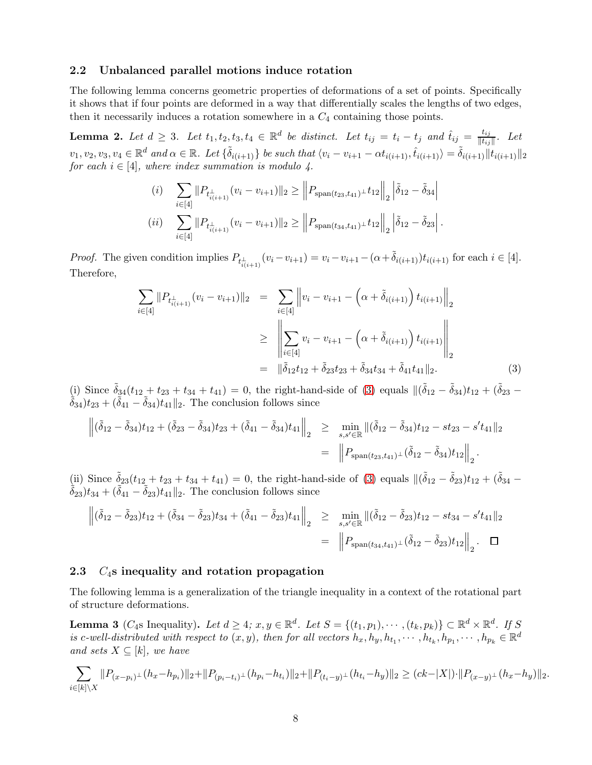#### <span id="page-7-2"></span>2.2 Unbalanced parallel motions induce rotation

The following lemma concerns geometric properties of deformations of a set of points. Specifically it shows that if four points are deformed in a way that differentially scales the lengths of two edges, then it necessarily induces a rotation somewhere in a  $C_4$  containing those points.

<span id="page-7-0"></span>**Lemma 2.** Let  $d \geq 3$ . Let  $t_1, t_2, t_3, t_4 \in \mathbb{R}^d$  be distinct. Let  $t_{ij} = t_i - t_j$  and  $\hat{t}_{ij} = \frac{t_{ij}}{\|t_{ij}\|}$  $\frac{\iota_{ij}}{\Vert t_{ij} \Vert}$ . Let  $v_1, v_2, v_3, v_4 \in \mathbb{R}^d$  and  $\alpha \in \mathbb{R}$ . Let  $\{\tilde{\delta}_{i(i+1)}\}$  be such that  $\langle v_i - v_{i+1} - \alpha t_{i(i+1)}, \hat{t}_{i(i+1)} \rangle = \tilde{\delta}_{i(i+1)} ||t_{i(i+1)}||_2$ *for each*  $i \in [4]$ *, where index summation is modulo 4.* 

(i) 
$$
\sum_{i \in [4]} \|P_{t_{i(i+1)}^{\perp}}(v_i - v_{i+1})\|_2 \geq \left\|P_{\text{span}(t_{23}, t_{41})^{\perp}} t_{12}\right\|_2 \left|\tilde{\delta}_{12} - \tilde{\delta}_{34}\right|
$$
  
\n(ii) 
$$
\sum_{i \in [4]} \|P_{t_{i(i+1)}^{\perp}}(v_i - v_{i+1})\|_2 \geq \left\|P_{\text{span}(t_{34}, t_{41})^{\perp}} t_{12}\right\|_2 \left|\tilde{\delta}_{12} - \tilde{\delta}_{23}\right|.
$$

*Proof.* The given condition implies  $P_{t_{i(i+1)}^{\perp}}(v_i - v_{i+1}) = v_i - v_{i+1} - (\alpha + \tilde{\delta}_{i(i+1)})t_{i(i+1)}$  for each  $i \in [4]$ . Therefore,

<span id="page-7-4"></span>
$$
\sum_{i \in [4]} \|P_{t_{i(i+1)}^{\perp}}(v_i - v_{i+1})\|_2 = \sum_{i \in [4]} \left\|v_i - v_{i+1} - \left(\alpha + \tilde{\delta}_{i(i+1)}\right) t_{i(i+1)}\right\|_2
$$
\n
$$
\geq \left\|\sum_{i \in [4]} v_i - v_{i+1} - \left(\alpha + \tilde{\delta}_{i(i+1)}\right) t_{i(i+1)}\right\|_2
$$
\n
$$
= \left\|\tilde{\delta}_{12} t_{12} + \tilde{\delta}_{23} t_{23} + \tilde{\delta}_{34} t_{34} + \tilde{\delta}_{41} t_{41}\right\|_2. \tag{3}
$$

(i) Since  $\tilde{\delta}_{34}(t_{12} + t_{23} + t_{34} + t_{41}) = 0$ , the right-hand-side of [\(3\)](#page-7-4) equals  $\|(\tilde{\delta}_{12} - \tilde{\delta}_{34})t_{12} + (\tilde{\delta}_{23} \delta_{34}$ ) $t_{23} + (\delta_{41} - \delta_{34})t_{41}$ <sub>2</sub>. The conclusion follows since

$$
\left\| (\tilde{\delta}_{12} - \tilde{\delta}_{34}) t_{12} + (\tilde{\delta}_{23} - \tilde{\delta}_{34}) t_{23} + (\tilde{\delta}_{41} - \tilde{\delta}_{34}) t_{41} \right\|_2 \ge \min_{s, s' \in \mathbb{R}} \| (\tilde{\delta}_{12} - \tilde{\delta}_{34}) t_{12} - st_{23} - s' t_{41} \|_2
$$
  

$$
= \left\| P_{\text{span}(t_{23}, t_{41})} \right\| (\tilde{\delta}_{12} - \tilde{\delta}_{34}) t_{12} \right\|_2.
$$

(ii) Since  $\tilde{\delta}_{23}(t_{12} + t_{23} + t_{34} + t_{41}) = 0$ , the right-hand-side of [\(3\)](#page-7-4) equals  $\|(\tilde{\delta}_{12} - \tilde{\delta}_{23})t_{12} + (\tilde{\delta}_{34} \delta_{23}t_{34} + (\delta_{41} - \delta_{23})t_{41}$ <sub>2</sub>. The conclusion follows since

$$
\left\| (\tilde{\delta}_{12} - \tilde{\delta}_{23}) t_{12} + (\tilde{\delta}_{34} - \tilde{\delta}_{23}) t_{34} + (\tilde{\delta}_{41} - \tilde{\delta}_{23}) t_{41} \right\|_2 \ge \min_{s, s' \in \mathbb{R}} \| (\tilde{\delta}_{12} - \tilde{\delta}_{23}) t_{12} - st_{34} - s' t_{41} \|_2
$$
  
= 
$$
\left\| P_{\text{span}(t_{34}, t_{41})} \right\|_2 (\tilde{\delta}_{12} - \tilde{\delta}_{23}) t_{12} \right\|_2 \cdot \square
$$

#### <span id="page-7-3"></span>2.3  $C_4$ s inequality and rotation propagation

The following lemma is a generalization of the triangle inequality in a context of the rotational part of structure deformations.

<span id="page-7-1"></span>**Lemma 3** ( $C_4$ s Inequality). Let  $d \geq 4$ ;  $x, y \in \mathbb{R}^d$ . Let  $S = \{(t_1, p_1), \cdots, (t_k, p_k)\} \subset \mathbb{R}^d \times \mathbb{R}^d$ . If  $S$ is c-well-distributed with respect to  $(x, y)$ , then for all vectors  $h_x, h_y, h_{t_1}, \cdots, h_{t_k}, h_{p_1}, \cdots, h_{p_k} \in \mathbb{R}^d$ *and sets*  $X \subseteq [k]$ *, we have* 

$$
\sum_{i\in[k]\setminus X}||P_{(x-p_i)^{\perp}}(h_x-h_{p_i})||_2+||P_{(p_i-t_i)^{\perp}}(h_{p_i}-h_{t_i})||_2+||P_{(t_i-y)^{\perp}}(h_{t_i}-h_y)||_2 \geq (ck-|X|)\cdot ||P_{(x-y)^{\perp}}(h_x-h_y)||_2.
$$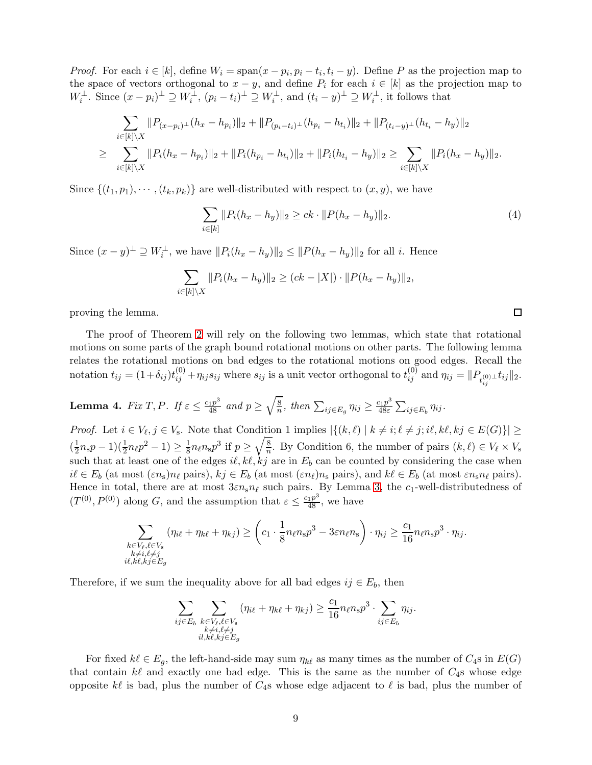*Proof.* For each  $i \in [k]$ , define  $W_i = \text{span}(x - p_i, p_i - t_i, t_i - y)$ . Define P as the projection map to the space of vectors orthogonal to  $x - y$ , and define  $P_i$  for each  $i \in [k]$  as the projection map to  $W_i^{\perp}$ . Since  $(x - p_i)^{\perp} \supseteq W_i^{\perp}$ ,  $(p_i - t_i)^{\perp} \supseteq W_i^{\perp}$ , and  $(t_i - y)^{\perp} \supseteq W_i^{\perp}$ , it follows that

$$
\sum_{i \in [k] \setminus X} ||P_{(x-p_i)^{\perp}}(h_x - h_{p_i})||_2 + ||P_{(p_i - t_i)^{\perp}}(h_{p_i} - h_{t_i})||_2 + ||P_{(t_i - y)^{\perp}}(h_{t_i} - h_y)||_2
$$
\n
$$
\geq \sum_{i \in [k] \setminus X} ||P_i(h_x - h_{p_i})||_2 + ||P_i(h_{p_i} - h_{t_i})||_2 + ||P_i(h_{t_i} - h_y)||_2 \geq \sum_{i \in [k] \setminus X} ||P_i(h_x - h_y)||_2.
$$

Since  $\{(t_1, p_1), \cdots, (t_k, p_k)\}\$  are well-distributed with respect to  $(x, y)$ , we have

$$
\sum_{i \in [k]} \|P_i(h_x - h_y)\|_2 \ge ck \cdot \|P(h_x - h_y)\|_2.
$$
\n(4)

 $\Box$ 

Since  $(x - y)^{\perp} \supseteq W_i^{\perp}$ , we have  $||P_i(h_x - h_y)||_2 \leq ||P(h_x - h_y)||_2$  for all i. Hence

$$
\sum_{i \in [k] \setminus X} ||P_i(h_x - h_y)||_2 \ge (ck - |X|) \cdot ||P(h_x - h_y)||_2,
$$

proving the lemma.

The proof of Theorem [2](#page-6-0) will rely on the following two lemmas, which state that rotational motions on some parts of the graph bound rotational motions on other parts. The following lemma relates the rotational motions on bad edges to the rotational motions on good edges. Recall the notation  $t_{ij} = (1 + \delta_{ij})t_{ij}^{(0)} + \eta_{ij}s_{ij}$  where  $s_{ij}$  is a unit vector orthogonal to  $t_{ij}^{(0)}$  and  $\eta_{ij} = ||P_{t_{ij}^{(0)} \perp}t_{ij}||_2$ .

<span id="page-8-0"></span>**Lemma 4.** Fix T, P. If 
$$
\varepsilon \leq \frac{c_1 p^3}{48}
$$
 and  $p \geq \sqrt{\frac{8}{n}}$ , then  $\sum_{ij \in E_g} \eta_{ij} \geq \frac{c_1 p^3}{48 \varepsilon} \sum_{ij \in E_b} \eta_{ij}$ .

*Proof.* Let  $i \in V_{\ell}, j \in V_{s}$ . Note that Condition 1 implies  $|\{(k,\ell) \mid k \neq i; \ell \neq j; i\ell, k\ell, kj \in E(G)\}| \ge$  $\left(\frac{1}{2}\right)$  $\frac{1}{2}n_s p - 1(\frac{1}{2}n_\ell p^2 - 1) \ge \frac{1}{8}$  $\frac{1}{8}n_{\ell}n_{\rm s}p^3$  if  $p\geq \sqrt{\frac{8}{n}}$  $\frac{8}{n}$ . By Condition 6, the number of pairs  $(k, \ell) \in V_{\ell} \times V_{\rm s}$ such that at least one of the edges  $i\ell, k\ell, kj$  are in  $E_b$  can be counted by considering the case when  $i\ell \in E_b$  (at most  $(\varepsilon n_s)n_\ell$  pairs),  $kj \in E_b$  (at most  $(\varepsilon n_\ell)n_s$  pairs), and  $k\ell \in E_b$  (at most  $\varepsilon n_s n_\ell$  pairs). Hence in total, there are at most  $3\varepsilon n_s n_\ell$  such pairs. By Lemma [3,](#page-7-1) the  $c_1$ -well-distributedness of  $(T^{(0)}, P^{(0)})$  along G, and the assumption that  $\varepsilon \leq \frac{c_1 p^3}{48}$ , we have

$$
\sum_{\substack{k \in V_{\ell}, \ell \in V_{\mathrm{s}} \\ k \neq i, \ell \neq j \\ i\ell, k\ell, k\jmath \in E_{g}}} (\eta_{i\ell} + \eta_{k\ell} + \eta_{kj}) \geq \left(c_1 \cdot \frac{1}{8} n_{\ell} n_{\mathrm{s}} p^3 - 3\varepsilon n_{\ell} n_{\mathrm{s}}\right) \cdot \eta_{ij} \geq \frac{c_1}{16} n_{\ell} n_{\mathrm{s}} p^3 \cdot \eta_{ij}.
$$

Therefore, if we sum the inequality above for all bad edges  $ij \in E_b$ , then

$$
\sum_{\substack{ij \in E_b}} \sum_{\substack{k \in V_\ell, \ell \in V_s \\ k \neq i, \ell \neq j \\ il, k \ell, kj \in E_g}} (\eta_{i\ell} + \eta_{k\ell} + \eta_{kj}) \geq \frac{c_1}{16} n_\ell n_s p^3 \cdot \sum_{ij \in E_b} \eta_{ij}.
$$

For fixed  $k\ell \in E_g$ , the left-hand-side may sum  $\eta_{k\ell}$  as many times as the number of  $C_4$ s in  $E(G)$ that contain  $k\ell$  and exactly one bad edge. This is the same as the number of  $C_4$ s whose edge opposite k $\ell$  is bad, plus the number of  $C_4$ s whose edge adjacent to  $\ell$  is bad, plus the number of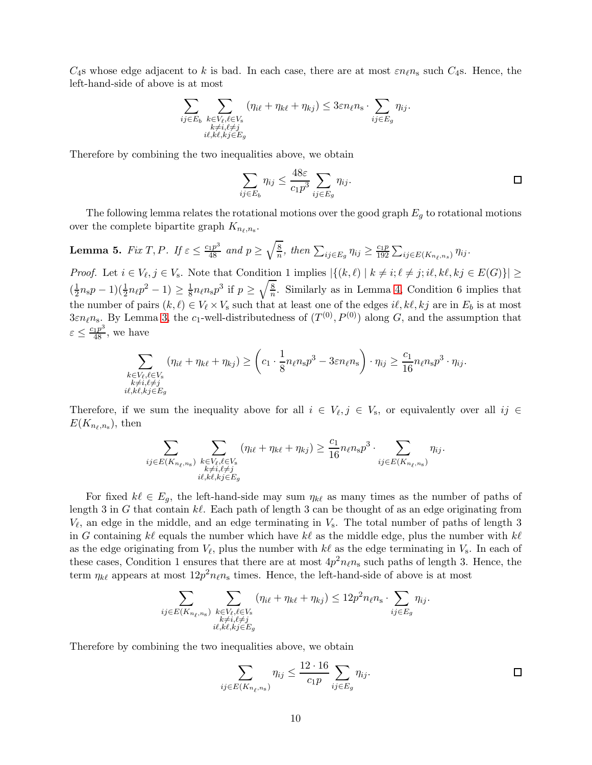$C_4$ s whose edge adjacent to k is bad. In each case, there are at most  $\varepsilon n_\ell n_s$  such  $C_4$ s. Hence, the left-hand-side of above is at most

$$
\sum_{\substack{ij \in E_b \\ k \neq i, \ell \neq j \\ i\ell, k\ell, k\ j \in E_g}} \sum_{\substack{(\eta_{i\ell} + \eta_{k\ell} + \eta_{kj}) \\ k \neq i, \ell \neq j}} (\eta_{i\ell} + \eta_{k\ell} + \eta_{kj}) \leq 3\varepsilon n_\ell n_s \cdot \sum_{ij \in E_g} \eta_{ij}.
$$

Therefore by combining the two inequalities above, we obtain

$$
\sum_{ij \in E_b} \eta_{ij} \le \frac{48\varepsilon}{c_1 p^3} \sum_{ij \in E_g} \eta_{ij}.
$$

The following lemma relates the rotational motions over the good graph  $E_g$  to rotational motions over the complete bipartite graph  $K_{n_{\ell},n_{\rm s}}$ .

<span id="page-9-0"></span>**Lemma 5.** *Fix*  $T, P$ *. If*  $\varepsilon \leq \frac{c_1 p^3}{48}$  *and*  $p \geq \sqrt{\frac{8}{n}}$  $\frac{8}{n}$ *, then*  $\sum_{ij \in E_g} \eta_{ij} \geq \frac{c_1 p}{192}$  $\frac{c_1p}{192}\sum_{ij\in E(K_{n_\ell,n_s})}\eta_{ij}.$ 

*Proof.* Let  $i \in V_{\ell}, j \in V_{s}$ . Note that Condition 1 implies  $|\{(k,\ell) \mid k \neq i; \ell \neq j; i\ell, k\ell, kj \in E(G)\}| \ge$  $\left(\frac{1}{2}\right)$  $(\frac{1}{2}n_{\rm s}p-1)(\frac{1}{2}n_{\ell}p^2-1) \geq \frac{1}{8}$  $\frac{1}{8}n_{\ell}n_{\rm s}p^3$  if  $p\geq \sqrt{\frac{8}{n}}$  $\frac{8}{n}$ . Similarly as in Lemma [4,](#page-8-0) Condition 6 implies that the number of pairs  $(k, \ell) \in V_{\ell} \times V_{s}$  such that at least one of the edges  $i\ell, k\ell, kj$  are in  $E_b$  is at most  $3\varepsilon n_{\ell}n_{\rm s}$ . By Lemma [3,](#page-7-1) the c<sub>1</sub>-well-distributedness of  $(T^{(0)}, P^{(0)})$  along G, and the assumption that  $\varepsilon \leq \frac{c_1 p^3}{48}$ , we have

$$
\sum_{\substack{k \in V_{\ell}, \ell \in V_{\rm s} \\ k \neq i, \ell \neq j \\ i\ell, k\ell, k\ j \in E_g}} (\eta_{i\ell} + \eta_{k\ell} + \eta_{kj}) \geq \left(c_1 \cdot \frac{1}{8} n_{\ell} n_{\rm s} p^3 - 3\varepsilon n_{\ell} n_{\rm s}\right) \cdot \eta_{ij} \geq \frac{c_1}{16} n_{\ell} n_{\rm s} p^3 \cdot \eta_{ij}.
$$

Therefore, if we sum the inequality above for all  $i \in V_{\ell}, j \in V_{\rm s}$ , or equivalently over all  $ij \in$  $E(K_{n_\ell,n_s}),\,$ then

$$
\sum_{ij \in E(K_{n_{\ell},n_{\rm s}})} \sum_{\substack{k \in V_{\ell}, \ell \in V_{\rm s} \\ k \neq i, \ell \neq j \\ i\ell, k\ell, k\ j \in E_g}} (\eta_{i\ell} + \eta_{k\ell} + \eta_{k\bar{j}}) \geq \frac{c_1}{16} n_{\ell} n_{\rm s} p^3 \cdot \sum_{ij \in E(K_{n_{\ell},n_{\rm s}})} \eta_{ij}.
$$

For fixed  $k\ell \in E_g$ , the left-hand-side may sum  $\eta_{k\ell}$  as many times as the number of paths of length 3 in G that contain  $k\ell$ . Each path of length 3 can be thought of as an edge originating from  $V_{\ell}$ , an edge in the middle, and an edge terminating in  $V_{s}$ . The total number of paths of length 3 in G containing  $k\ell$  equals the number which have  $k\ell$  as the middle edge, plus the number with  $k\ell$ as the edge originating from  $V_{\ell}$ , plus the number with  $k\ell$  as the edge terminating in  $V_{s}$ . In each of these cases, Condition 1 ensures that there are at most  $4p^2n_{\ell}n_{\rm s}$  such paths of length 3. Hence, the term  $\eta_{k\ell}$  appears at most  $12p^2n_{\ell}n_{\rm s}$  times. Hence, the left-hand-side of above is at most

$$
\sum_{\substack{ij \in E(K_{n_{\ell},n_{\rm s}}) \\ k \neq i,\ell \neq j \\ i\ell, k\ell, k\ j \in E_g}} \sum_{\substack{(\eta_{i\ell} + \eta_{k\ell} + \eta_{kj}) \leq 12p^2 n_{\ell}n_{\rm s} \\ k \neq i,\ell \neq j}} \sum_{\substack{k \neq i,\ell \neq j \\ i\ell \in E_g}} \eta_{ij}.
$$

Therefore by combining the two inequalities above, we obtain

$$
\sum_{ij \in E(K_{n_{\ell},n_{\rm s}})} \eta_{ij} \le \frac{12 \cdot 16}{c_1 p} \sum_{ij \in E_g} \eta_{ij}.
$$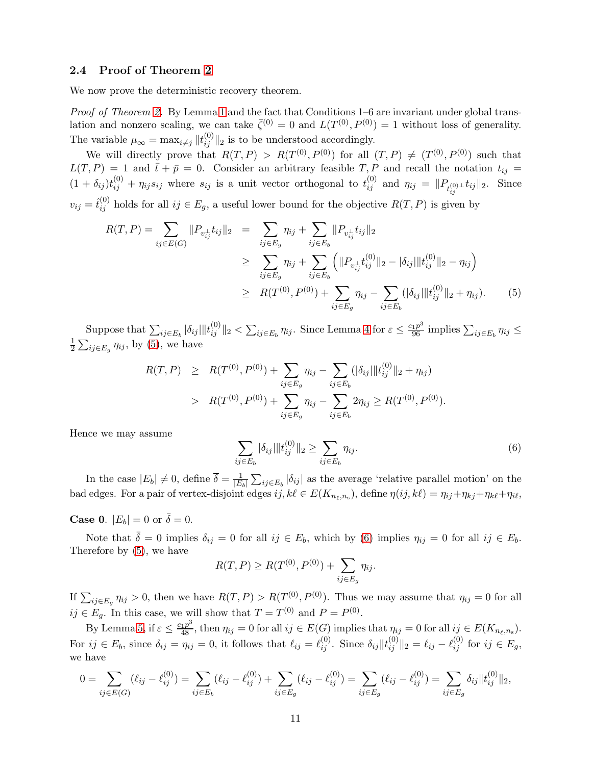## <span id="page-10-0"></span>2.4 Proof of Theorem [2](#page-6-0)

We now prove the deterministic recovery theorem.

*Proof of Theorem [2.](#page-6-0)* By Lemma [1](#page-6-1) and the fact that Conditions 1–6 are invariant under global translation and nonzero scaling, we can take  $\bar{\zeta}^{(0)} = 0$  and  $L(T^{(0)}, P^{(0)}) = 1$  without loss of generality. The variable  $\mu_{\infty} = \max_{i \neq j} ||t_{ij}^{(0)}||_2$  is to be understood accordingly.

We will directly prove that  $R(T, P) > R(T^{(0)}, P^{(0)})$  for all  $(T, P) \neq (T^{(0)}, P^{(0)})$  such that  $L(T, P) = 1$  and  $\bar{t} + \bar{p} = 0$ . Consider an arbitrary feasible T, P and recall the notation  $t_{ij} =$  $(1 + \delta_{ij})t_{ij}^{(0)} + \eta_{ij}s_{ij}$  where  $s_{ij}$  is a unit vector orthogonal to  $t_{ij}^{(0)}$  and  $\eta_{ij} = ||P_{t_{ij}^{(0)} \perp}t_{ij}||_2$ . Since  $v_{ij} = \hat{t}_{ij}^{(0)}$  holds for all  $ij \in E_g$ , a useful lower bound for the objective  $R(T, P)$  is given by

<span id="page-10-1"></span>
$$
R(T, P) = \sum_{ij \in E(G)} ||P_{v_{ij}^{\perp}} t_{ij}||_2 = \sum_{ij \in E_g} \eta_{ij} + \sum_{ij \in E_b} ||P_{v_{ij}^{\perp}} t_{ij}||_2
$$
  
\n
$$
\geq \sum_{ij \in E_g} \eta_{ij} + \sum_{ij \in E_b} \left( ||P_{v_{ij}^{\perp}} t_{ij}^{(0)}||_2 - |\delta_{ij}|| |t_{ij}^{(0)}||_2 - \eta_{ij} \right)
$$
  
\n
$$
\geq R(T^{(0)}, P^{(0)}) + \sum_{ij \in E_g} \eta_{ij} - \sum_{ij \in E_b} (|\delta_{ij}|| |t_{ij}^{(0)}||_2 + \eta_{ij}).
$$
 (5)

Suppose that  $\sum_{ij\in E_b} |\delta_{ij}||t_{ij}^{(0)}||_2 < \sum_{ij\in E_b} \eta_{ij}$ . Since Lemma [4](#page-8-0) for  $\varepsilon \leq \frac{c_1p^3}{96}$  implies  $\sum_{ij\in E_b} \eta_{ij} \leq$ 1  $\frac{1}{2} \sum_{ij \in E_g} \eta_{ij}$ , by [\(5\)](#page-10-1), we have

$$
R(T, P) \geq R(T^{(0)}, P^{(0)}) + \sum_{ij \in E_g} \eta_{ij} - \sum_{ij \in E_b} (|\delta_{ij}| \|t_{ij}^{(0)}\|_2 + \eta_{ij})
$$
  
> 
$$
R(T^{(0)}, P^{(0)}) + \sum_{ij \in E_g} \eta_{ij} - \sum_{ij \in E_b} 2\eta_{ij} \geq R(T^{(0)}, P^{(0)}).
$$

Hence we may assume

<span id="page-10-2"></span>
$$
\sum_{ij \in E_b} |\delta_{ij}| \|t_{ij}^{(0)}\|_2 \ge \sum_{ij \in E_b} \eta_{ij}.
$$
 (6)

In the case  $|E_b| \neq 0$ , define  $\overline{\delta} = \frac{1}{|E_b|}$  $\frac{1}{|E_b|}\sum_{ij\in E_b}|\delta_{ij}|$  as the average 'relative parallel motion' on the bad edges. For a pair of vertex-disjoint edges  $ij, k\ell \in E(K_{n_\ell,n_s})$ , define  $\eta(ij, k\ell) = \eta_{ij} + \eta_{kj} + \eta_{k\ell} + \eta_{i\ell}$ ,

**Case 0.**  $|E_b| = 0$  or  $\overline{\delta} = 0$ .

Note that  $\bar{\delta} = 0$  implies  $\delta_{ij} = 0$  for all  $ij \in E_b$ , which by [\(6\)](#page-10-2) implies  $\eta_{ij} = 0$  for all  $ij \in E_b$ . Therefore by [\(5\)](#page-10-1), we have

$$
R(T, P) \ge R(T^{(0)}, P^{(0)}) + \sum_{ij \in E_g} \eta_{ij}.
$$

If  $\sum_{ij\in E_g}\eta_{ij} > 0$ , then we have  $R(T, P) > R(T^{(0)}, P^{(0)})$ . Thus we may assume that  $\eta_{ij} = 0$  for all  $ij \in E_g$ . In this case, we will show that  $T = T^{(0)}$  and  $P = P^{(0)}$ .

By Lemma [5,](#page-9-0) if  $\varepsilon \leq \frac{c_1 p^3}{48}$ , then  $\eta_{ij} = 0$  for all  $ij \in E(G)$  implies that  $\eta_{ij} = 0$  for all  $ij \in E(K_{n_\ell,n_s})$ . For  $ij \in E_b$ , since  $\delta_{ij} = \eta_{ij} = 0$ , it follows that  $\ell_{ij} = \ell_{ij}^{(0)}$ . Since  $\delta_{ij} || t_{ij}^{(0)} ||_2 = \ell_{ij} - \ell_{ij}^{(0)}$  for  $ij \in E_g$ , we have

$$
0 = \sum_{ij \in E(G)} (\ell_{ij} - \ell_{ij}^{(0)}) = \sum_{ij \in E_b} (\ell_{ij} - \ell_{ij}^{(0)}) + \sum_{ij \in E_g} (\ell_{ij} - \ell_{ij}^{(0)}) = \sum_{ij \in E_g} (\ell_{ij} - \ell_{ij}^{(0)}) = \sum_{ij \in E_g} \delta_{ij} ||t_{ij}^{(0)}||_2,
$$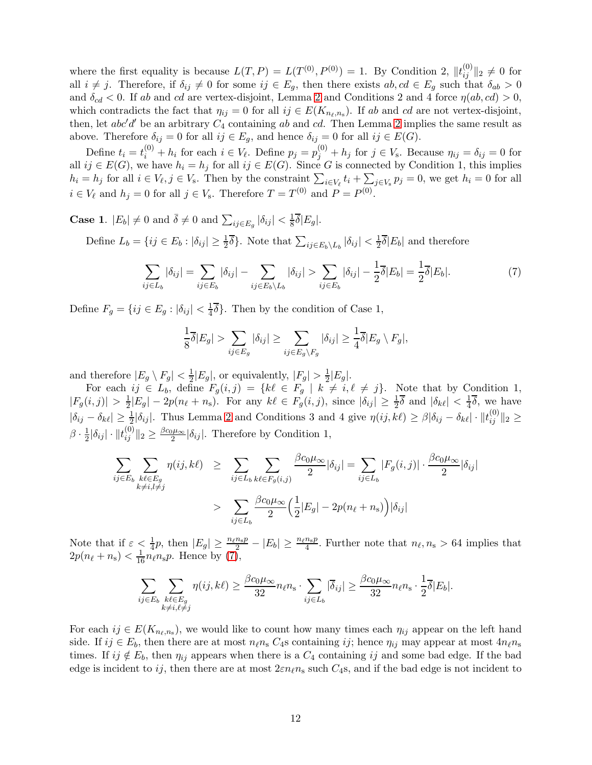where the first equality is because  $L(T, P) = L(T^{(0)}, P^{(0)}) = 1$ . By Condition 2,  $||t_{ij}^{(0)}||_2 \neq 0$  for all  $i \neq j$ . Therefore, if  $\delta_{ij} \neq 0$  for some  $ij \in E_g$ , then there exists  $ab, cd \in E_g$  such that  $\delta_{ab} > 0$ and  $\delta_{cd} < 0$ . If ab and cd are vertex-disjoint, Lemma [2](#page-7-0) and Conditions 2 and 4 force  $\eta(ab, cd) > 0$ , which contradicts the fact that  $\eta_{ij} = 0$  for all  $ij \in E(K_{n_\ell,n_s})$ . If ab and cd are not vertex-disjoint, then, let  $abc'd'$  be an arbitrary  $C_4$  containing ab and cd. Then Lemma [2](#page-7-0) implies the same result as above. Therefore  $\delta_{ij} = 0$  for all  $ij \in E_g$ , and hence  $\delta_{ij} = 0$  for all  $ij \in E(G)$ .

Define  $t_i = t_i^{(0)} + h_i$  for each  $i \in V_\ell$ . Define  $p_j = p_j^{(0)} + h_j$  for  $j \in V_s$ . Because  $\eta_{ij} = \delta_{ij} = 0$  for all  $ij \in E(G)$ , we have  $h_i = h_j$  for all  $ij \in E(G)$ . Since G is connected by Condition 1, this implies  $h_i = h_j$  for all  $i \in V_\ell, j \in V_s$ . Then by the constraint  $\sum_{i \in V_\ell} t_i + \sum_{j \in V_s} p_j = 0$ , we get  $h_i = 0$  for all  $i \in V_\ell$  and  $h_j = 0$  for all  $j \in V_s$ . Therefore  $T = T^{(0)}$  and  $P = P^{(0)}$ .

**Case 1.**  $|E_b| \neq 0$  and  $\bar{\delta} \neq 0$  and  $\sum_{ij \in E_g} |\delta_{ij}| < \frac{1}{8}$  $rac{1}{8}\delta|E_g|.$ 

Define  $L_b = \{ij \in E_b : |\delta_{ij}| \geq \frac{1}{2}\overline{\delta}\}\.$  Note that  $\sum_{ij \in E_b \setminus L_b} |\delta_{ij}| < \frac{1}{2}$  $\frac{1}{2}\delta|E_b|$  and therefore

<span id="page-11-0"></span>
$$
\sum_{ij\in L_b} |\delta_{ij}| = \sum_{ij\in E_b} |\delta_{ij}| - \sum_{ij\in E_b\setminus L_b} |\delta_{ij}| > \sum_{ij\in E_b} |\delta_{ij}| - \frac{1}{2}\overline{\delta}|E_b| = \frac{1}{2}\overline{\delta}|E_b|.
$$
 (7)

Define  $F_g = \{ij \in E_g : |\delta_{ij}| < \frac{1}{4}\}$  $\frac{1}{4}\delta$ . Then by the condition of Case 1,

$$
\frac{1}{8}\overline{\delta}|E_g| > \sum_{ij \in E_g} |\delta_{ij}| \ge \sum_{ij \in E_g \backslash F_g} |\delta_{ij}| \ge \frac{1}{4}\overline{\delta}|E_g \setminus F_g|,
$$

and therefore  $|E_g \setminus F_g| < \frac{1}{2}$  $\frac{1}{2}|E_g|$ , or equivalently,  $|F_g| > \frac{1}{2}$  $\frac{1}{2}|E_g|.$ 

For each  $ij \in L_b$ , define  $F_g(i,j) = \{k\ell \in F_g \mid k \neq i, \ell \neq j\}$ . Note that by Condition 1,  $|F_g(i,j)| > \frac{1}{2}$  $\frac{1}{2}|E_g| - 2p(n_\ell + n_s)$ . For any  $k\ell \in F_g(i,j)$ , since  $|\delta_{ij}| \geq \frac{1}{2}\overline{\delta}$  and  $|\delta_{k\ell}| < \frac{1}{4}$  $rac{1}{4}\delta$ , we have  $|\delta_{ij} - \delta_{k\ell}| \geq \frac{1}{2} |\delta_{ij}|$ . Thus Lemma [2](#page-7-0) and Conditions 3 and 4 give  $\eta(ij, k\ell) \geq \beta |\delta_{ij} - \delta_{k\ell}| \cdot ||t_{ij}^{(0)}||_2 \geq$  $\beta \cdot \frac{1}{2}$  $\frac{1}{2}|\delta_{ij}| \cdot ||t_{ij}^{(0)}||_2 \geq \frac{\beta c_0 \mu_{\infty}}{2} |\delta_{ij}|$ . Therefore by Condition 1,

$$
\sum_{ij \in E_b} \sum_{\substack{k\ell \in E_g \\ k \neq i, l \neq j}} \eta(ij, k\ell) \geq \sum_{ij \in L_b} \sum_{k\ell \in F_g(i,j)} \frac{\beta c_0 \mu_\infty}{2} |\delta_{ij}| = \sum_{ij \in L_b} |F_g(i,j)| \cdot \frac{\beta c_0 \mu_\infty}{2} |\delta_{ij}|
$$
  
> 
$$
\sum_{ij \in L_b} \frac{\beta c_0 \mu_\infty}{2} \left(\frac{1}{2}|E_g| - 2p(n_\ell + n_s)\right) |\delta_{ij}|
$$

Note that if  $\varepsilon < \frac{1}{4}p$ , then  $|E_g| \geq \frac{n_\ell n_s p}{2} - |E_b| \geq \frac{n_\ell n_s p}{4}$ . Further note that  $n_\ell, n_s > 64$  implies that  $2p(n_\ell + n_s) < \frac{1}{16}n_\ell n_s p$ . Hence by  $(7)$ ,

$$
\sum_{ij \in E_b} \sum_{\substack{k\ell \in E_g \\ k \neq i, \ell \neq j}} \eta(ij, k\ell) \ge \frac{\beta c_0 \mu_\infty}{32} n_\ell n_\mathrm{s} \cdot \sum_{ij \in L_b} |\overline{\delta}_{ij}| \ge \frac{\beta c_0 \mu_\infty}{32} n_\ell n_\mathrm{s} \cdot \frac{1}{2} \overline{\delta} |E_b|.
$$

For each  $ij \in E(K_{n_{\ell},n_{\rm s}})$ , we would like to count how many times each  $\eta_{ij}$  appear on the left hand side. If  $ij \in E_b$ , then there are at most  $n_\ell n_s C_4$ s containing ij; hence  $\eta_{ij}$  may appear at most  $4n_\ell n_s$ times. If ij  $\notin E_b$ , then  $\eta_{ij}$  appears when there is a  $C_4$  containing ij and some bad edge. If the bad edge is incident to ij, then there are at most  $2\varepsilon n_\ell n_s$  such  $C_4$ s, and if the bad edge is not incident to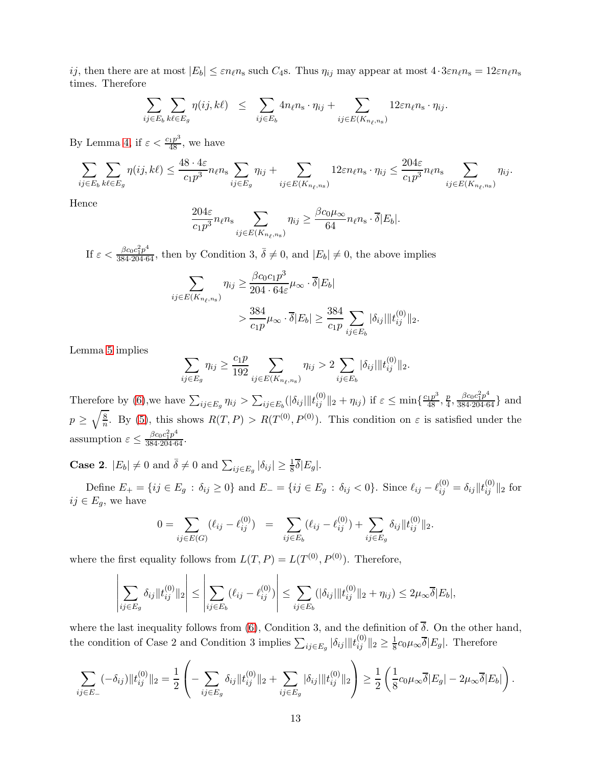ij, then there are at most  $|E_b| \leq \varepsilon n_\ell n_s$  such  $C_4$ s. Thus  $\eta_{ij}$  may appear at most  $4 \cdot 3 \varepsilon n_\ell n_s = 12 \varepsilon n_\ell n_s$ times. Therefore

$$
\sum_{ij \in E_b} \sum_{k\ell \in E_g} \eta(ij, k\ell) \leq \sum_{ij \in E_b} 4n_{\ell}n_{\rm s} \cdot \eta_{ij} + \sum_{ij \in E(K_{n_{\ell},n_{\rm s}})} 12\varepsilon n_{\ell}n_{\rm s} \cdot \eta_{ij}.
$$

By Lemma [4,](#page-8-0) if  $\varepsilon < \frac{c_1 p^3}{48}$ , we have

$$
\sum_{ij\in E_b}\sum_{k\ell\in E_g}\eta(ij,k\ell) \leq \frac{48\cdot 4\varepsilon}{c_1p^3}n_\ell n_s \sum_{ij\in E_g}\eta_{ij} + \sum_{ij\in E(K_{n_\ell,n_s})}12\varepsilon n_\ell n_s \cdot \eta_{ij} \leq \frac{204\varepsilon}{c_1p^3}n_\ell n_s \sum_{ij\in E(K_{n_\ell,n_s})}\eta_{ij}.
$$

Hence

$$
\frac{204\varepsilon}{c_1 p^3} n_\ell n_{\rm s} \sum_{ij \in E(K_{n_\ell,n_{\rm s}})} \eta_{ij} \ge \frac{\beta c_0 \mu_\infty}{64} n_\ell n_{\rm s} \cdot \overline{\delta} |E_b|.
$$

If  $\varepsilon < \frac{\beta c_0 c_1^2 p^4}{384 \cdot 204 \cdot 64}$ , then by Condition 3,  $\overline{\delta} \neq 0$ , and  $|E_b| \neq 0$ , the above implies

$$
\sum_{ij \in E(K_{n_{\ell},n_{\rm s}})} \eta_{ij} \ge \frac{\beta c_0 c_1 p^3}{204 \cdot 64 \varepsilon} \mu_{\infty} \cdot \overline{\delta}|E_b|
$$
  
> 
$$
\frac{384}{c_1 p} \mu_{\infty} \cdot \overline{\delta}|E_b| \ge \frac{384}{c_1 p} \sum_{ij \in E_b} |\delta_{ij}| \|t_{ij}^{(0)}\|_2.
$$

Lemma [5](#page-9-0) implies

 $\overline{\phantom{a}}$  $\overline{\phantom{a}}$  $\overline{\phantom{a}}$  $\overline{\phantom{a}}$  $\overline{\phantom{a}}$  $\overline{\phantom{a}}$ 

$$
\sum_{ij \in E_g} \eta_{ij} \ge \frac{c_1 p}{192} \sum_{ij \in E(K_{n_\ell, n_s})} \eta_{ij} > 2 \sum_{ij \in E_b} |\delta_{ij}| \|t_{ij}^{(0)}\|_2.
$$

Therefore by [\(6\)](#page-10-2), we have  $\sum_{ij \in E_g} \eta_{ij} > \sum_{ij \in E_b} (|\delta_{ij}| ||t_{ij}^{(0)}||_2 + \eta_{ij})$  if  $\varepsilon \le \min\{\frac{c_1 p^3}{48}, \frac{p}{4}\}$  $\frac{p}{4}, \frac{\beta c_0 c_1^2 p^4}{384 \cdot 204 \cdot 64}$  and  $p \geq \sqrt{\frac{8}{n}}$  $\frac{8}{n}$ . By [\(5\)](#page-10-1), this shows  $R(T, P) > R(T^{(0)}, P^{(0)})$ . This condition on  $\varepsilon$  is satisfied under the assumption  $\varepsilon \leq \frac{\beta c_0 c_1^2 p^4}{384 \cdot 204 \cdot 64}.$ 

**Case 2.**  $|E_b| \neq 0$  and  $\overline{\delta} \neq 0$  and  $\sum_{ij \in E_g} |\delta_{ij}| \geq \frac{1}{8} \overline{\delta} |E_g|$ .

Define  $E_+ = \{ij \in E_g : \delta_{ij} \ge 0\}$  and  $E_- = \{ij \in E_g : \delta_{ij} < 0\}$ . Since  $\ell_{ij} - \ell_{ij}^{(0)} = \delta_{ij} ||t_{ij}^{(0)}||_2$  for  $ij \in E_q$ , we have

$$
0 = \sum_{ij \in E(G)} (\ell_{ij} - \ell_{ij}^{(0)}) = \sum_{ij \in E_b} (\ell_{ij} - \ell_{ij}^{(0)}) + \sum_{ij \in E_g} \delta_{ij} ||t_{ij}^{(0)}||_2.
$$

where the first equality follows from  $L(T, P) = L(T^{(0)}, P^{(0)})$ . Therefore,

$$
\sum_{ij \in E_g} \delta_{ij} \|t_{ij}^{(0)}\|_2 \le \left| \sum_{ij \in E_b} (\ell_{ij} - \ell_{ij}^{(0)}) \right| \le \sum_{ij \in E_b} (|\delta_{ij}| \|t_{ij}^{(0)}\|_2 + \eta_{ij}) \le 2\mu_{\infty} \overline{\delta}|E_b|,
$$

where the last inequality follows from [\(6\)](#page-10-2), Condition 3, and the definition of  $\overline{\delta}$ . On the other hand, the condition of Case 2 and Condition 3 implies  $\sum_{ij \in E_g} |\delta_{ij}| ||t_{ij}^{(0)}||_2 \ge \frac{1}{8}$  $\frac{1}{8}c_0\mu_\infty\delta|E_g|$ . Therefore

$$
\sum_{ij \in E_-} (-\delta_{ij}) \|t_{ij}^{(0)}\|_2 = \frac{1}{2} \left( - \sum_{ij \in E_g} \delta_{ij} \|t_{ij}^{(0)}\|_2 + \sum_{ij \in E_g} |\delta_{ij}| \|t_{ij}^{(0)}\|_2 \right) \ge \frac{1}{2} \left( \frac{1}{8} c_0 \mu_\infty \overline{\delta} |E_g| - 2\mu_\infty \overline{\delta} |E_b| \right).
$$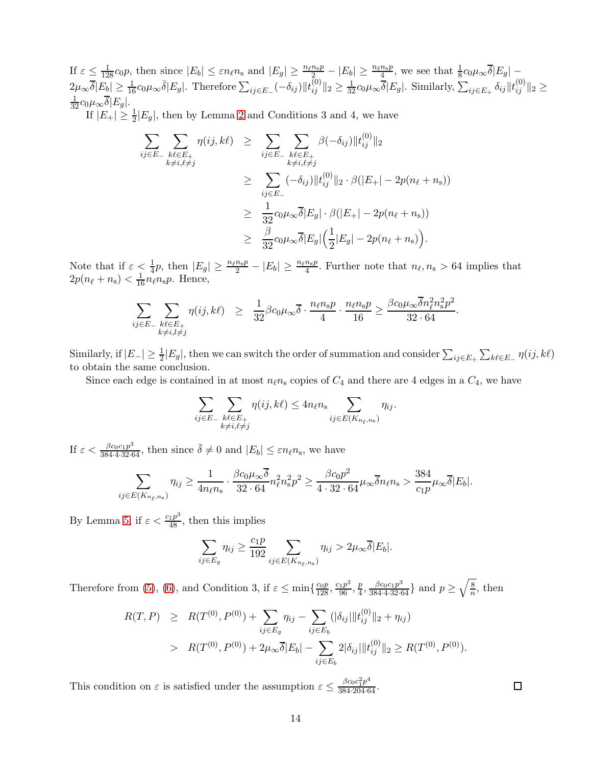If  $\varepsilon \leq \frac{1}{128} c_0 p$ , then since  $|E_b| \leq \varepsilon n_\ell n_s$  and  $|E_g| \geq \frac{n_\ell n_s p}{r_s} - |E_b| \geq \frac{n_\ell n_s p}{4}$ , we see that  $\frac{1}{8} c_0 \mu_\infty \overline{\delta} |E_g| 2\mu_{\infty}\overline{\delta}|E_{\underline{b}}| \ge \frac{1}{16}c_0\mu_{\infty}\overline{\delta}|E_{\underline{g}}|$ . Therefore  $\sum_{ij\in E_{-}}(-\delta_{ij})||t_{ij}^{(0)}||_2 \ge \frac{1}{32}c_0\mu_{\infty}\overline{\delta}|E_{\underline{g}}|$ . Similarly,  $\sum_{ij\in E_{+}}\delta_{ij}||t_{ij}^{(0)}||_2 \ge$  $\frac{1}{32}c_0\mu_\infty\overline{\delta}|E_g|.$ 

If  $|E_+| \geq \frac{1}{2}|E_g|$ , then by Lemma [2](#page-7-0) and Conditions 3 and 4, we have

$$
\sum_{ij \in E_{-}} \sum_{\substack{k\ell \in E_{+} \\ k \neq i, \ell \neq j}} \eta(ij, k\ell) \geq \sum_{ij \in E_{-}} \sum_{\substack{k\ell \in E_{+} \\ k \neq i, \ell \neq j}} \beta(-\delta_{ij}) \|t_{ij}^{(0)}\|_{2}
$$
\n
$$
\geq \sum_{ij \in E_{-}} (-\delta_{ij}) \|t_{ij}^{(0)}\|_{2} \cdot \beta(|E_{+}| - 2p(n_{\ell} + n_{s}))
$$
\n
$$
\geq \frac{1}{32} c_{0} \mu_{\infty} \overline{\delta}|E_{g}| \cdot \beta(|E_{+}| - 2p(n_{\ell} + n_{s}))
$$
\n
$$
\geq \frac{\beta}{32} c_{0} \mu_{\infty} \overline{\delta}|E_{g}| \left(\frac{1}{2}|E_{g}| - 2p(n_{\ell} + n_{s})\right).
$$

Note that if  $\varepsilon < \frac{1}{4}p$ , then  $|E_g| \geq \frac{n_\ell n_s p}{2} - |E_b| \geq \frac{n_\ell n_s p}{4}$ . Further note that  $n_\ell, n_s > 64$  implies that  $2p(n_\ell + n_s) < \frac{1}{16}n_\ell n_s p$ . Hence,

$$
\sum_{ij \in E_-\} \sum_{\substack{k\ell \in E_+ \\ k \neq i, l \neq j}} \eta(ij, k\ell) \geq \frac{1}{32} \beta c_0 \mu_\infty \overline{\delta} \cdot \frac{n_\ell n_\mathrm{s} p}{4} \cdot \frac{n_\ell n_\mathrm{s} p}{16} \geq \frac{\beta c_0 \mu_\infty \overline{\delta} n_\ell^2 n_\mathrm{s}^2 p^2}{32 \cdot 64}.
$$

Similarly, if  $|E_{-}| \geq \frac{1}{2}|E_{g}|$ , then we can switch the order of summation and consider  $\sum_{ij\in E_{+}}\sum_{k\ell\in E_{-}}\eta(ij,k\ell)$ to obtain the same conclusion.

Since each edge is contained in at most  $n_{\ell}n_{\rm s}$  copies of  $C_4$  and there are 4 edges in a  $C_4$ , we have

$$
\sum_{ij \in E_-\} \sum_{\substack{k\ell \in E_+\\k \neq i, \ell \neq j}} \eta(ij, k\ell) \leq 4n_{\ell} n_{\rm s} \sum_{ij \in E(K_{n_{\ell},n_{\rm s}})} \eta_{ij}.
$$

If  $\varepsilon < \frac{\beta c_0 c_1 p^3}{384 \cdot 4 \cdot 32 \cdot 64}$ , then since  $\overline{\delta} \neq 0$  and  $|E_b| \leq \varepsilon n_\ell n_s$ , we have

$$
\sum_{ij \in E(K_{n_{\ell},n_{\rm s}})} \eta_{ij} \ge \frac{1}{4n_{\ell}n_{\rm s}} \cdot \frac{\beta c_0 \mu_{\infty} \overline{\delta}}{32 \cdot 64} n_{\ell}^2 n_{\rm s}^2 p^2 \ge \frac{\beta c_0 p^2}{4 \cdot 32 \cdot 64} \mu_{\infty} \overline{\delta} n_{\ell} n_{\rm s} > \frac{384}{c_1 p} \mu_{\infty} \overline{\delta} |E_b|.
$$

By Lemma [5,](#page-9-0) if  $\varepsilon < \frac{c_1 p^3}{48}$ , then this implies

$$
\sum_{ij \in E_g} \eta_{ij} \ge \frac{c_1 p}{192} \sum_{ij \in E(K_{n_\ell, n_s})} \eta_{ij} > 2\mu_\infty \overline{\delta}|E_b|.
$$

Therefore from [\(5\)](#page-10-1), [\(6\)](#page-10-2), and Condition 3, if  $\varepsilon \le \min\{\frac{c_0p}{128}, \frac{c_1p^3}{96}, \frac{p}{4}$  $\frac{p}{4}, \frac{\beta c_0 c_1 p^3}{384 \cdot 4 \cdot 32 \cdot 64}$  and  $p \ge \sqrt{\frac{8}{n}}$  $\frac{8}{n}$ , then

$$
R(T, P) \geq R(T^{(0)}, P^{(0)}) + \sum_{ij \in E_g} \eta_{ij} - \sum_{ij \in E_b} (|\delta_{ij}| \|t_{ij}^{(0)}\|_2 + \eta_{ij})
$$
  
> 
$$
R(T^{(0)}, P^{(0)}) + 2\mu_{\infty} \overline{\delta}|E_b| - \sum_{ij \in E_b} 2|\delta_{ij}| \|t_{ij}^{(0)}\|_2 \geq R(T^{(0)}, P^{(0)}).
$$

This condition on  $\varepsilon$  is satisfied under the assumption  $\varepsilon \leq \frac{\beta c_0 c_1^2 p^4}{384 \cdot 204 \cdot 64}$ .

 $\Box$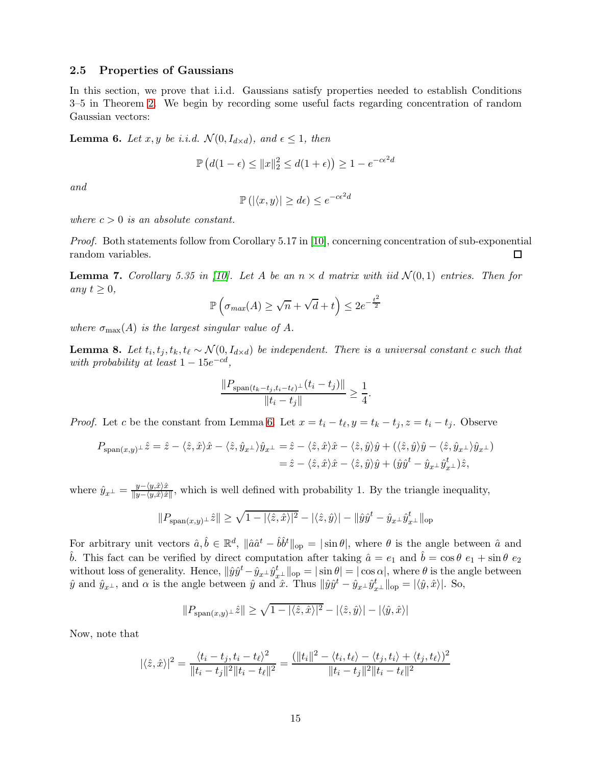# <span id="page-14-0"></span>2.5 Properties of Gaussians

In this section, we prove that i.i.d. Gaussians satisfy properties needed to establish Conditions 3–5 in Theorem [2.](#page-6-0) We begin by recording some useful facts regarding concentration of random Gaussian vectors:

<span id="page-14-1"></span>**Lemma 6.** Let x, y be i.i.d.  $\mathcal{N}(0, I_{d \times d})$ , and  $\epsilon \leq 1$ , then

$$
\mathbb{P}\left(d(1-\epsilon) \le ||x||_2^2 \le d(1+\epsilon)\right) \ge 1 - e^{-c\epsilon^2 d}
$$

*and*

$$
\mathbb{P}\left(\left|\langle x,y\rangle\right|\geq d\epsilon\right)\leq e^{-c\epsilon^2d}
$$

*where*  $c > 0$  *is an absolute constant.* 

*Proof.* Both statements follow from Corollary 5.17 in [\[10\]](#page-26-6), concerning concentration of sub-exponential random variables.  $\Box$ 

<span id="page-14-3"></span>**Lemma 7.** *Corollary 5.35 in [\[10\]](#page-26-6).* Let A be an  $n \times d$  matrix with iid  $\mathcal{N}(0,1)$  entries. Then for *any*  $t \geq 0$ *,* 

$$
\mathbb{P}\left(\sigma_{max}(A) \ge \sqrt{n} + \sqrt{d} + t\right) \le 2e^{-\frac{t^2}{2}}
$$

*where*  $\sigma_{\text{max}}(A)$  *is the largest singular value of A.* 

<span id="page-14-2"></span>**Lemma 8.** Let  $t_i, t_j, t_k, t_\ell \sim \mathcal{N}(0, I_{d \times d})$  be independent. There is a universal constant c such that *with probability at least*  $1 - 15e^{-cd}$ ,

$$
\frac{\|P_{\text{span}(t_k-t_j,t_i-t_\ell)^\perp}(t_i-t_j)\|}{\|t_i-t_j\|} \ge \frac{1}{4}.
$$

*Proof.* Let c be the constant from Lemma [6.](#page-14-1) Let  $x = t_i - t_\ell, y = t_k - t_j, z = t_i - t_j$ . Observe

$$
P_{\text{span}(x,y)} \perp \hat{z} = \hat{z} - \langle \hat{z}, \hat{x} \rangle \hat{x} - \langle \hat{z}, \hat{y}_{x} \perp \rangle \hat{y}_{x} = \hat{z} - \langle \hat{z}, \hat{x} \rangle \hat{x} - \langle \hat{z}, \hat{y} \rangle \hat{y} + (\langle \hat{z}, \hat{y} \rangle \hat{y} - \langle \hat{z}, \hat{y}_{x} \perp \rangle \hat{y}_{x} \perp) = \hat{z} - \langle \hat{z}, \hat{x} \rangle \hat{x} - \langle \hat{z}, \hat{y} \rangle \hat{y} + (\hat{y}\hat{y}^t - \hat{y}_{x} \perp \hat{y}_{x}^t \perp) \hat{z},
$$

where  $\hat{y}_{x} = \frac{y - \langle y, \hat{x} \rangle \hat{x}}{\|y - \langle y, \hat{x} \rangle \hat{x}}$  $\frac{y-\langle y,x\rangle x}{\|y-\langle y,\hat{x}\rangle \hat{x}\|}$ , which is well defined with probability 1. By the triangle inequality,

$$
||P_{\text{span}(x,y)}\_\hat{z}|| \ge \sqrt{1 - |\langle \hat{z}, \hat{x} \rangle|^2} - |\langle \hat{z}, \hat{y} \rangle| - ||\hat{y}\hat{y}^t - \hat{y}_{x\perp}\hat{y}_{x\perp}^t||_{\text{op}}
$$

For arbitrary unit vectors  $\hat{a}, \hat{b} \in \mathbb{R}^d$ ,  $\|\hat{a}\hat{a}^t - \hat{b}\hat{b}^t\|_{\text{op}} = |\sin \theta|$ , where  $\theta$  is the angle between  $\hat{a}$  and b. This fact can be verified by direct computation after taking  $\hat{a} = e_1$  and  $\hat{b} = \cos \theta e_1 + \sin \theta e_2$ without loss of generality. Hence,  $\|\hat{y}\hat{y}^t - \hat{y}_{x\perp}\hat{y}^t_{x\perp}\|_{\text{op}} = |\sin \theta| = |\cos \alpha|$ , where  $\theta$  is the angle between  $\hat{y}$  and  $\hat{y}_{x^{\perp}}$ , and  $\alpha$  is the angle between  $\hat{y}$  and  $\hat{x}$ . Thus  $\|\hat{y}\hat{y}^t - \hat{y}_{x^{\perp}}\hat{y}_{x^{\perp}}^t\|_{\text{op}} = |\langle \hat{y}, \hat{x} \rangle|$ . So,

$$
||P_{\text{span}(x,y)} \perp \hat{z}|| \ge \sqrt{1 - |\langle \hat{z}, \hat{x} \rangle|^2} - |\langle \hat{z}, \hat{y} \rangle| - |\langle \hat{y}, \hat{x} \rangle|
$$

Now, note that

$$
|\langle \hat{z}, \hat{x} \rangle|^2 = \frac{\langle t_i - t_j, t_i - t_\ell \rangle^2}{\|t_i - t_j\|^2 \|t_i - t_\ell\|^2} = \frac{(\|t_i\|^2 - \langle t_i, t_\ell \rangle - \langle t_j, t_i \rangle + \langle t_j, t_\ell \rangle)^2}{\|t_i - t_j\|^2 \|t_i - t_\ell\|^2}
$$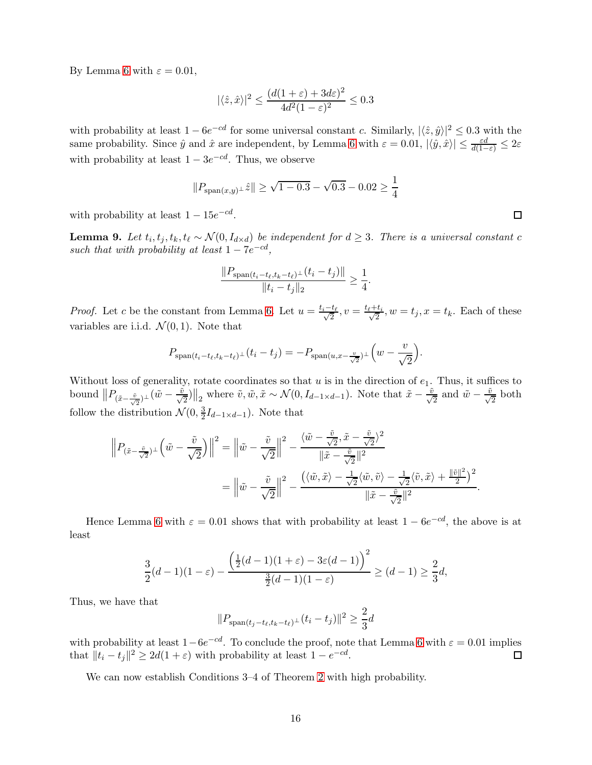By Lemma [6](#page-14-1) with  $\varepsilon = 0.01$ ,

$$
|\langle \hat{z}, \hat{x} \rangle|^2 \le \frac{(d(1+\varepsilon) + 3d\varepsilon)^2}{4d^2(1-\varepsilon)^2} \le 0.3
$$

with probability at least  $1 - 6e^{-cd}$  for some universal constant c. Similarly,  $|\langle \hat{z}, \hat{y} \rangle|^2 \leq 0.3$  with the same probability. Since  $\hat{y}$  and  $\hat{x}$  are independent, by Lemma [6](#page-14-1) with  $\varepsilon = 0.01, |\langle \hat{y}, \hat{x} \rangle| \le \frac{\varepsilon d}{d(1-\varepsilon)} \le 2\varepsilon$ with probability at least  $1 - 3e^{-cd}$ . Thus, we observe

$$
||P_{\text{span}(x,y)} \perp \hat{z}|| \ge \sqrt{1 - 0.3} - \sqrt{0.3} - 0.02 \ge \frac{1}{4}
$$

with probability at least  $1 - 15e^{-cd}$ .

<span id="page-15-0"></span>**Lemma 9.** Let  $t_i, t_j, t_k, t_\ell \sim \mathcal{N}(0, I_{d \times d})$  be independent for  $d \geq 3$ . There is a universal constant c *such that with probability at least*  $1 - 7e^{-cd}$ ,

$$
\frac{\|P_{\text{span}(t_i-t_\ell,t_k-t_\ell)^\perp}(t_i-t_j)\|}{\|t_i-t_j\|_2} \ge \frac{1}{4}.
$$

*Proof.* Let c be the constant from Lemma [6.](#page-14-1) Let  $u = \frac{t_i - t_\ell}{\sqrt{2}}$ ,  $v = \frac{t_\ell + t_i}{\sqrt{2}}$  $\frac{t_i}{2}$ ,  $w = t_j$ ,  $x = t_k$ . Each of these variables are i.i.d.  $\mathcal{N}(0, 1)$ . Note that

$$
P_{\text{span}(t_i-t_\ell,t_k-t_\ell)^\perp}(t_i-t_j)=-P_{\text{span}(u,x-\frac{v}{\sqrt{2}})^\perp}\left(w-\frac{v}{\sqrt{2}}\right).
$$

Without loss of generality, rotate coordinates so that  $u$  is in the direction of  $e_1$ . Thus, it suffices to bound  $||P_{(\tilde{x}-\frac{\tilde{v}}{\sqrt{2}})_\perp}(\tilde{w}-\frac{\tilde{v}}{\sqrt{2}})||_2$  where  $\tilde{v}, \tilde{w}, \tilde{x} \sim \mathcal{N}(0, I_{d-1 \times d-1})$ . Note that  $\tilde{x}-\frac{\tilde{v}}{\sqrt{2}}$  and  $\tilde{w}-\frac{\tilde{v}}{\sqrt{2}}$  both follow the distribution  $\mathcal{N}(0, \frac{3}{2})$  $\frac{3}{2}I_{d-1\times d-1}$ ). Note that

$$
\left\| P_{\left(\tilde{x} - \frac{\tilde{v}}{\sqrt{2}}\right)^\perp} \left( \tilde{w} - \frac{\tilde{v}}{\sqrt{2}} \right) \right\|^2 = \left\| \tilde{w} - \frac{\tilde{v}}{\sqrt{2}} \right\|^2 - \frac{\left\langle \tilde{w} - \frac{\tilde{v}}{\sqrt{2}}, \tilde{x} - \frac{\tilde{v}}{\sqrt{2}} \right\|^2}{\|\tilde{x} - \frac{\tilde{v}}{\sqrt{2}}\|^2}
$$

$$
= \left\| \tilde{w} - \frac{\tilde{v}}{\sqrt{2}} \right\|^2 - \frac{\left( \left\langle \tilde{w}, \tilde{x} \right\rangle - \frac{1}{\sqrt{2}} \left\langle \tilde{w}, \tilde{v} \right\rangle - \frac{1}{\sqrt{2}} \left\langle \tilde{v}, \tilde{x} \right\rangle + \frac{\|\tilde{v}\|^2}{2} \right)^2}{\|\tilde{x} - \frac{\tilde{v}}{\sqrt{2}}\|^2}.
$$

Hence Lemma [6](#page-14-1) with  $\varepsilon = 0.01$  shows that with probability at least  $1 - 6e^{-cd}$ , the above is at least

$$
\frac{3}{2}(d-1)(1-\varepsilon) - \frac{\left(\frac{1}{2}(d-1)(1+\varepsilon) - 3\varepsilon(d-1)\right)^2}{\frac{3}{2}(d-1)(1-\varepsilon)} \ge (d-1) \ge \frac{2}{3}d,
$$

Thus, we have that

$$
||P_{\text{span}(t_j - t_\ell, t_k - t_\ell)^\perp}(t_i - t_j)||^2 \ge \frac{2}{3}d
$$

with probability at least  $1-6e^{-cd}$ . To conclude the proof, note that Lemma [6](#page-14-1) with  $\varepsilon = 0.01$  implies that  $||t_i - t_j||^2 \ge 2d(1 + \varepsilon)$  with probability at least  $1 - e^{-cd}$ .  $\Box$ 

We can now establish Conditions 3–4 of Theorem [2](#page-6-0) with high probability.

 $\Box$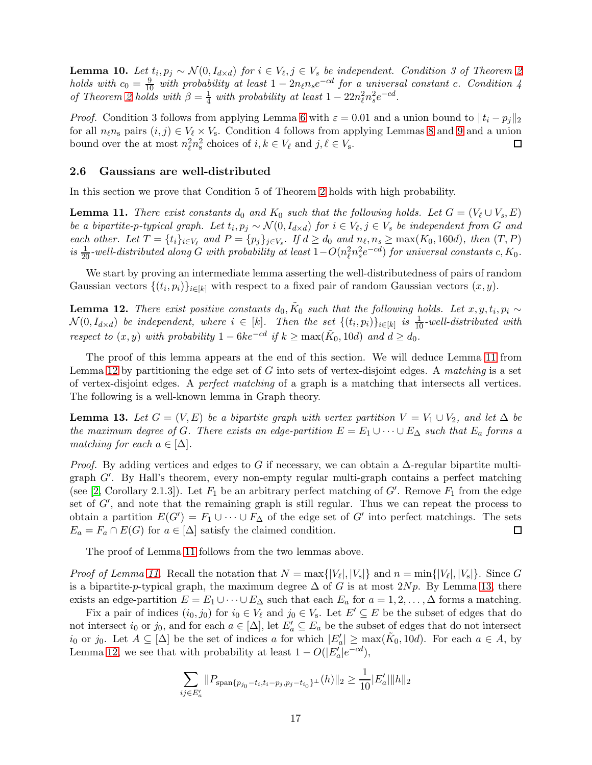<span id="page-16-4"></span>**Lemma 10.** *Let*  $t_i, p_j \sim \mathcal{N}(0, I_{d \times d})$  *for*  $i \in V_{\ell}, j \in V_s$  *be independent. Condition 3 of Theorem [2](#page-6-0) holds with*  $c_0 = \frac{9}{10}$  *with probability at least*  $1 - 2n_{\ell}n_{s}e^{-cd}$  *for a universal constant c. Condition 4 of Theorem [2](#page-6-0) holds with*  $\beta = \frac{1}{4}$  *with probability at least*  $1 - 22n_{\ell}^2 n_s^2 e^{-cd}$ .

*Proof.* Condition 3 follows from applying Lemma [6](#page-14-1) with  $\varepsilon = 0.01$  and a union bound to  $||t_i - p_j||_2$ for all  $n_{\ell}n_s$  pairs  $(i, j) \in V_{\ell} \times V_s$ . Condition 4 follows from applying Lemmas [8](#page-14-2) and [9](#page-15-0) and a union bound over the at most  $n_{\ell}^2 n_{\rm s}^2$  choices of  $i, k \in V_{\ell}$  and  $j, \ell \in V_{\rm s}$ .  $\Box$ 

#### <span id="page-16-0"></span>2.6 Gaussians are well-distributed

In this section we prove that Condition 5 of Theorem [2](#page-6-0) holds with high probability.

<span id="page-16-1"></span>**Lemma 11.** *There exist constants*  $d_0$  *and*  $K_0$  *such that the following holds. Let*  $G = (V_\ell \cup V_s, E)$ *be a bipartite-p-typical graph.* Let  $t_i, p_j \sim \mathcal{N}(0, I_{d \times d})$  *for*  $i \in V_\ell, j \in V_s$  *be independent from* G *and each other.* Let  $T = \{t_i\}_{i \in V_\ell}$  and  $P = \{p_j\}_{j \in V_s}$ . If  $d \geq d_0$  and  $n_\ell, n_s \geq \max(K_0, 160d)$ , then  $(T, P)$  $i s \frac{1}{20}$ -well-distributed along G with probability at least  $1 - O(n_\ell^2 n_s^2 e^{-cd})$  for universal constants  $c, K_0$ .

We start by proving an intermediate lemma asserting the well-distributedness of pairs of random Gaussian vectors  $\{(t_i, p_i)\}_{i \in [k]}$  with respect to a fixed pair of random Gaussian vectors  $(x, y)$ .

<span id="page-16-2"></span>**Lemma 12.** *There exist positive constants*  $d_0$ ,  $\tilde{K}_0$  such that the following holds. Let  $x, y, t_i, p_i \sim$  $\mathcal{N}(0, I_{d \times d})$  *be independent, where*  $i \in [k]$ . Then the set  $\{(t_i, p_i)\}_{i \in [k]}$  is  $\frac{1}{10}$ -well-distributed with *respect to*  $(x, y)$  *with probability*  $1 - 6ke^{-cd}$  *if*  $k \ge \max(\tilde{K}_0, 10d)$  *and*  $d \ge d_0$ *.* 

The proof of this lemma appears at the end of this section. We will deduce Lemma [11](#page-16-1) from Lemma [12](#page-16-2) by partitioning the edge set of G into sets of vertex-disjoint edges. A *matching* is a set of vertex-disjoint edges. A *perfect matching* of a graph is a matching that intersects all vertices. The following is a well-known lemma in Graph theory.

<span id="page-16-3"></span>**Lemma 13.** Let  $G = (V, E)$  be a bipartite graph with vertex partition  $V = V_1 \cup V_2$ , and let  $\Delta$  be *the maximum degree of* G. There exists an edge-partition  $E = E_1 \cup \cdots \cup E_{\Delta}$  *such that*  $E_a$  *forms a matching for each*  $a \in [\Delta]$ *.* 

*Proof.* By adding vertices and edges to G if necessary, we can obtain a  $\Delta$ -regular bipartite multigraph G′ . By Hall's theorem, every non-empty regular multi-graph contains a perfect matching (see [\[2,](#page-24-0) Corollary 2.1.3]). Let  $F_1$  be an arbitrary perfect matching of  $G'$ . Remove  $F_1$  from the edge set of  $G'$ , and note that the remaining graph is still regular. Thus we can repeat the process to obtain a partition  $E(G') = F_1 \cup \cdots \cup F_{\Delta}$  of the edge set of G' into perfect matchings. The sets  $E_a = F_a \cap E(G)$  for  $a \in [\Delta]$  satisfy the claimed condition.  $\Box$ 

The proof of Lemma [11](#page-16-1) follows from the two lemmas above.

*Proof of Lemma [11.](#page-16-1)* Recall the notation that  $N = \max\{|V_{\ell}|, |V_{\rm s}|\}$  and  $n = \min\{|V_{\ell}|, |V_{\rm s}|\}$ . Since G is a bipartite-p-typical graph, the maximum degree  $\Delta$  of G is at most  $2Np$ . By Lemma [13,](#page-16-3) there exists an edge-partition  $E = E_1 \cup \cdots \cup E_{\Delta}$  such that each  $E_a$  for  $a = 1, 2, \ldots, \Delta$  forms a matching.

Fix a pair of indices  $(i_0, j_0)$  for  $i_0 \in V_\ell$  and  $j_0 \in V_s$ . Let  $E' \subseteq E$  be the subset of edges that do not intersect  $i_0$  or  $j_0$ , and for each  $a \in [\Delta]$ , let  $E'_a \subseteq E_a$  be the subset of edges that do not intersect  $i_0$  or  $j_0$ . Let  $A \subseteq [\Delta]$  be the set of indices a for which  $|E'_a| \ge \max(\tilde{K}_0, 10d)$ . For each  $a \in A$ , by Lemma [12,](#page-16-2) we see that with probability at least  $1 - O(|E'_a|e^{-cd})$ ,

$$
\sum_{ij \in E'_a} ||P_{\text{span}\{p_{j_0} - t_i, t_i - p_j, p_j - t_{i_0}\}^\perp}(h)||_2 \ge \frac{1}{10} |E'_a| ||h||_2
$$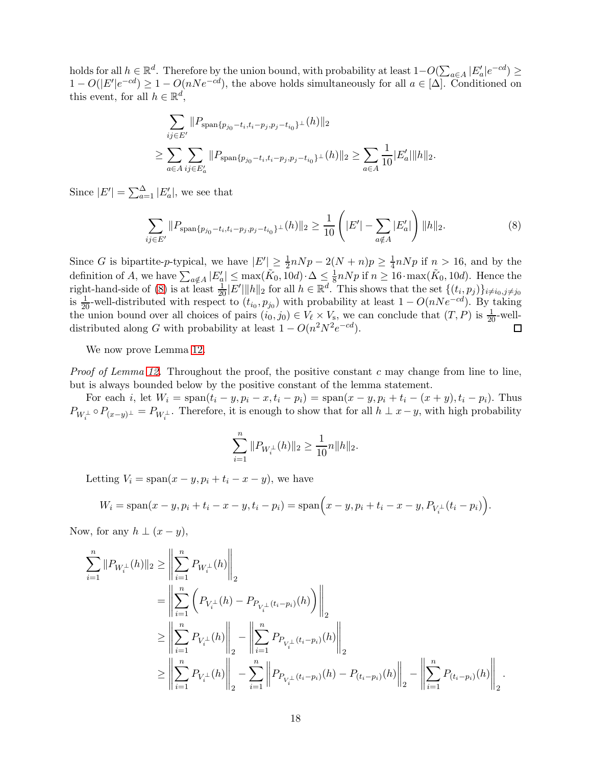holds for all  $h \in \mathbb{R}^d$ . Therefore by the union bound, with probability at least  $1-O(\sum_{a\in A}|E'_a|e^{-cd}) \ge$  $1 - O(|E'|e^{-cd}) \geq 1 - O(nNe^{-cd})$ , the above holds simultaneously for all  $a \in [\Delta]$ . Conditioned on this event, for all  $h \in \mathbb{R}^d$ ,

$$
\sum_{ij \in E'} ||P_{\text{span}\{p_{j_0} - t_i, t_i - p_j, p_j - t_{i_0}\}} \perp (h)||_2
$$
\n
$$
\geq \sum_{a \in A} \sum_{ij \in E'_a} ||P_{\text{span}\{p_{j_0} - t_i, t_i - p_j, p_j - t_{i_0}\}} \perp (h)||_2 \geq \sum_{a \in A} \frac{1}{10} |E'_a| ||h||_2.
$$

Since  $|E'| = \sum_{a=1}^{\Delta} |E'_a|$ , we see that

$$
\sum_{ij \in E'} ||P_{\text{span}\{p_{j_0} - t_i, t_i - p_j, p_j - t_{i_0}\}^{\perp}}(h)||_2 \ge \frac{1}{10} \left( |E'| - \sum_{a \notin A} |E'_a| \right) ||h||_2. \tag{8}
$$

Since G is bipartite-p-typical, we have  $|E'| \ge \frac{1}{2} n N p - 2(N+n) p \ge \frac{1}{4}$  $\frac{1}{4}nNp$  if  $n > 16$ , and by the definition of A, we have  $\sum_{a \notin A} |E'_a| \le \max(\tilde{K}_0, 10d) \cdot \Delta \le \frac{1}{8} nNp$  if  $n \ge 16 \cdot \max(\tilde{K}_0, 10d)$ . Hence the right-hand-side of [\(8\)](#page-17-0) is at least  $\frac{1}{20}|E'||h||_2$  for all  $h \in \mathbb{R}^d$ . This shows that the set  $\{(t_i, p_j)\}_{i \neq i_0, j \neq j_0}$ is  $\frac{1}{20}$ -well-distributed with respect to  $(t_{i_0}, p_{j_0})$  with probability at least  $1 - O(nNe^{-cd})$ . By taking the union bound over all choices of pairs  $(i_0, j_0) \in V_{\ell} \times V_{\rm s}$ , we can conclude that  $(T, P)$  is  $\frac{1}{20}$ -welldistributed along G with probability at least  $1 - O(n^2 N^2 e^{-cd})$ .

We now prove Lemma [12.](#page-16-2)

*Proof of Lemma [12.](#page-16-2)* Throughout the proof, the positive constant c may change from line to line, but is always bounded below by the positive constant of the lemma statement.

For each i, let  $W_i = \text{span}(t_i - y, p_i - x, t_i - p_i) = \text{span}(x - y, p_i + t_i - (x + y), t_i - p_i)$ . Thus  $P_{W_i^{\perp}} \circ P_{(x-y)^{\perp}} = P_{W_i^{\perp}}$ . Therefore, it is enough to show that for all  $h \perp x-y$ , with high probability

<span id="page-17-0"></span>
$$
\sum_{i=1}^n \|P_{W_i^\perp}(h)\|_2 \geq \frac{1}{10}n \|h\|_2.
$$

Letting  $V_i = \text{span}(x - y, p_i + t_i - x - y)$ , we have

$$
W_i = \text{span}(x - y, p_i + t_i - x - y, t_i - p_i) = \text{span}\left(x - y, p_i + t_i - x - y, P_{V_i^{\perp}}(t_i - p_i)\right).
$$

Now, for any  $h \perp (x - y)$ ,

$$
\begin{split} \sum_{i=1}^{n}\|P_{W_{i}^{\perp}}(h)\|_{2} & \geq \left\|\sum_{i=1}^{n}P_{W_{i}^{\perp}}(h)\right\|_{2}\\ &=\left\|\sum_{i=1}^{n}\left(P_{V_{i}^{\perp}}(h)-P_{P_{V_{i}^{\perp}}(t_{i}-p_{i})}(h)\right)\right\|_{2}\\ & \geq \left\|\sum_{i=1}^{n}P_{V_{i}^{\perp}}(h)\right\|_{2}-\left\|\sum_{i=1}^{n}P_{P_{V_{i}^{\perp}}(t_{i}-p_{i})}(h)\right\|_{2}\\ & \geq \left\|\sum_{i=1}^{n}P_{V_{i}^{\perp}}(h)\right\|_{2}-\sum_{i=1}^{n}\left\|P_{P_{V_{i}^{\perp}}(t_{i}-p_{i})}(h)-P_{(t_{i}-p_{i})}(h)\right\|_{2}-\left\|\sum_{i=1}^{n}P_{(t_{i}-p_{i})}(h)\right\|_{2}. \end{split}
$$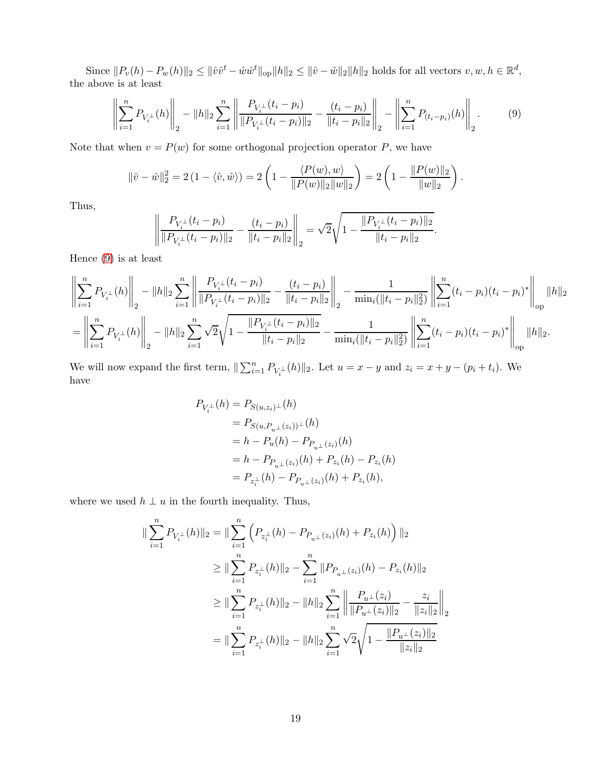Since  $||P_v(h) - P_w(h)||_2 \le ||\hat{v}\hat{v}^t - \hat{w}\hat{w}^t||_{op} ||h||_2 \le ||\hat{v} - \hat{w}||_2 ||h||_2$  holds for all vectors  $v, w, h \in \mathbb{R}^d$ , the above is at least

$$
\left\| \sum_{i=1}^{n} P_{V_i^{\perp}}(h) \right\|_2 - \|h\|_2 \sum_{i=1}^{n} \left\| \frac{P_{V_i^{\perp}}(t_i - p_i)}{\|P_{V_i^{\perp}}(t_i - p_i)\|_2} - \frac{(t_i - p_i)}{\|t_i - p_i\|_2} \right\|_2 - \left\| \sum_{i=1}^{n} P_{(t_i - p_i)}(h) \right\|_2.
$$
 (9)

Note that when  $v = P(w)$  for some orthogonal projection operator P, we have

$$
\|\hat{v} - \hat{w}\|_2^2 = 2(1 - \langle \hat{v}, \hat{w} \rangle) = 2\left(1 - \frac{\langle P(w), w \rangle}{\|P(w)\|_2 \|w\|_2}\right) = 2\left(1 - \frac{\|P(w)\|_2}{\|w\|_2}\right).
$$

Thus,

<span id="page-18-0"></span>
$$
\left\| \frac{P_{V_i^{\perp}}(t_i - p_i)}{\| P_{V_i^{\perp}}(t_i - p_i) \|_2} - \frac{(t_i - p_i)}{\| t_i - p_i \|_2} \right\|_2 = \sqrt{2} \sqrt{1 - \frac{\| P_{V_i^{\perp}}(t_i - p_i) \|_2}{\| t_i - p_i \|_2}}.
$$

Hence [\(9\)](#page-18-0) is at least

$$
\left\| \sum_{i=1}^{n} P_{V_i^{\perp}}(h) \right\|_2 - \|h\|_2 \sum_{i=1}^{n} \left\| \frac{P_{V_i^{\perp}}(t_i - p_i)}{\|P_{V_i^{\perp}}(t_i - p_i)\|_2} - \frac{(t_i - p_i)}{\|t_i - p_i\|_2} \right\|_2 - \frac{1}{\min_i(\|t_i - p_i\|_2^2)} \left\| \sum_{i=1}^{n} (t_i - p_i)(t_i - p_i)^* \right\|_{\text{op}} \|h\|_2
$$

$$
= \left\| \sum_{i=1}^{n} P_{V_i^{\perp}}(h) \right\|_2 - \|h\|_2 \sum_{i=1}^{n} \sqrt{2} \sqrt{1 - \frac{\|P_{V_i^{\perp}}(t_i - p_i)\|_2}{\|t_i - p_i\|_2}} - \frac{1}{\min_i(\|t_i - p_i\|_2^2)} \left\| \sum_{i=1}^{n} (t_i - p_i)(t_i - p_i)^* \right\|_{\text{op}} \|h\|_2.
$$

We will now expand the first term,  $\|\sum_{i=1}^n P_{V_i^{\perp}}(h)\|_2$ . Let  $u = x - y$  and  $z_i = x + y - (p_i + t_i)$ . We have

$$
P_{V_i^{\perp}}(h) = P_{S(u,z_i)^{\perp}}(h)
$$
  
=  $P_{S(u,P_{u^{\perp}}(z_i))^{\perp}}(h)$   
=  $h - P_u(h) - P_{P_{u^{\perp}}(z_i)}(h)$   
=  $h - P_{P_{u^{\perp}}(z_i)}(h) + P_{z_i}(h) - P_{z_i}(h)$   
=  $P_{z_i^{\perp}}(h) - P_{P_{u^{\perp}}(z_i)}(h) + P_{z_i}(h)$ ,

where we used  $h \perp u$  in the fourth inequality. Thus,

$$
\begin{aligned}\n\|\sum_{i=1}^{n} P_{V_i^{\perp}}(h)\|_{2} &= \|\sum_{i=1}^{n} \left( P_{z_i^{\perp}}(h) - P_{P_{u^{\perp}}(z_i)}(h) + P_{z_i}(h) \right) \|_{2} \\
&\geq \|\sum_{i=1}^{n} P_{z_i^{\perp}}(h)\|_{2} - \sum_{i=1}^{n} \|P_{P_{u^{\perp}}(z_i)}(h) - P_{z_i}(h)\|_{2} \\
&\geq \|\sum_{i=1}^{n} P_{z_i^{\perp}}(h)\|_{2} - \|h\|_{2} \sum_{i=1}^{n} \left\| \frac{P_{u^{\perp}}(z_i)}{\|P_{u^{\perp}}(z_i)\|_{2}} - \frac{z_i}{\|z_i\|_{2}} \right\|_{2} \\
&= \|\sum_{i=1}^{n} P_{z_i^{\perp}}(h)\|_{2} - \|h\|_{2} \sum_{i=1}^{n} \sqrt{2} \sqrt{1 - \frac{\|P_{u^{\perp}}(z_i)\|_{2}}{\|z_i\|_{2}}} \n\end{aligned}
$$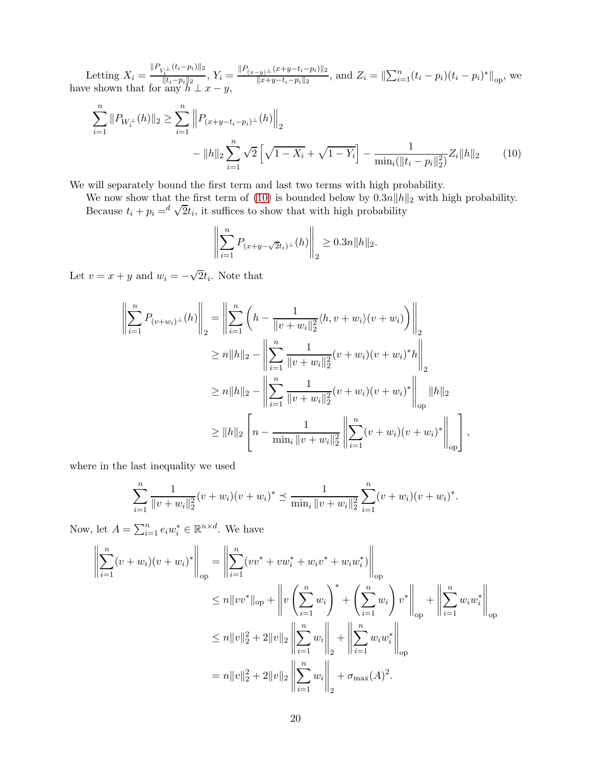Letting  $X_i = \frac{\|P_{V_i^{\perp}}(t_i - p_i)\|_2}{\|t_i - p_i\|_2}$  $\frac{N_i^{\perp}(t_i-p_i)\|_2}{\|t_i-p_i\|_2},\,Y_i=\frac{\|P_{(x-y)^{\perp}}(x+y-t_i-p_i)\|_2}{\|x+y-t_i-p_i\|_2}$  $\frac{f(x+y-t_i-p_i)|}{||x+y-t_i-p_i||_2}$ , and  $Z_i = ||\sum_{i=1}^n (t_i-p_i)(t_i-p_i)^*||_{op}$ , we have shown that for any  $h \perp x - y$ ,

$$
\sum_{i=1}^{n} ||P_{W_i^{\perp}}(h)||_2 \ge \sum_{i=1}^{n} \left\| P_{(x+y-t_i-p_i)^{\perp}}(h) \right\|_2
$$

$$
- ||h||_2 \sum_{i=1}^{n} \sqrt{2} \left[ \sqrt{1-X_i} + \sqrt{1-Y_i} \right] - \frac{1}{\min_i (\|t_i - p_i\|_2^2)} Z_i ||h||_2 \tag{10}
$$

We will separately bound the first term and last two terms with high probability.

We now show that the first term of [\(10\)](#page-19-0) is bounded below by  $0.3n||h||_2$  with high probability. Because  $t_i + p_i = d \sqrt{2} t_i$ , it suffices to show that with high probability

<span id="page-19-0"></span>
$$
\left\| \sum_{i=1}^{n} P_{(x+y-\sqrt{2}t_i)^{\perp}}(h) \right\|_2 \ge 0.3n \|h\|_2.
$$

Let  $v = x + y$  and  $w_i = -\sqrt{2}t_i$ . Note that

$$
\left\| \sum_{i=1}^{n} P_{(v+w_i)^{\perp}}(h) \right\|_{2} = \left\| \sum_{i=1}^{n} \left( h - \frac{1}{\|v+w_i\|_{2}^{2}} \langle h, v+w_i \rangle (v+w_i) \right) \right\|_{2}
$$
  
\n
$$
\geq n \|h\|_{2} - \left\| \sum_{i=1}^{n} \frac{1}{\|v+w_i\|_{2}^{2}} (v+w_i)(v+w_i)^{*} h \right\|_{2}
$$
  
\n
$$
\geq n \|h\|_{2} - \left\| \sum_{i=1}^{n} \frac{1}{\|v+w_i\|_{2}^{2}} (v+w_i)(v+w_i)^{*} \right\|_{op} \|h\|_{2}
$$
  
\n
$$
\geq \|h\|_{2} \left[ n - \frac{1}{\min_{i} \|v+w_i\|_{2}^{2}} \left\| \sum_{i=1}^{n} (v+w_i)(v+w_i)^{*} \right\|_{op} \right],
$$

where in the last inequality we used

$$
\sum_{i=1}^{n} \frac{1}{\|v+w_i\|_2^2} (v+w_i)(v+w_i)^* \leq \frac{1}{\min_i \|v+w_i\|_2^2} \sum_{i=1}^{n} (v+w_i)(v+w_i)^*.
$$

Now, let  $A = \sum_{i=1}^n e_i w_i^* \in \mathbb{R}^{n \times d}$ . We have

$$
\left\| \sum_{i=1}^{n} (v + w_i)(v + w_i)^* \right\|_{op} = \left\| \sum_{i=1}^{n} (vv^* + vw_i^* + w_i v^* + w_i w_i^*) \right\|_{op}
$$
  
\n
$$
\leq n \|vv^*\|_{op} + \left\| v \left( \sum_{i=1}^{n} w_i \right)^* + \left( \sum_{i=1}^{n} w_i \right) v^* \right\|_{op} + \left\| \sum_{i=1}^{n} w_i w_i^* \right\|_{op}
$$
  
\n
$$
\leq n \|v\|_2^2 + 2 \|v\|_2 \left\| \sum_{i=1}^{n} w_i \right\|_2 + \left\| \sum_{i=1}^{n} w_i w_i^* \right\|_{op}
$$
  
\n
$$
= n \|v\|_2^2 + 2 \|v\|_2 \left\| \sum_{i=1}^{n} w_i \right\|_2 + \sigma_{\max}(A)^2.
$$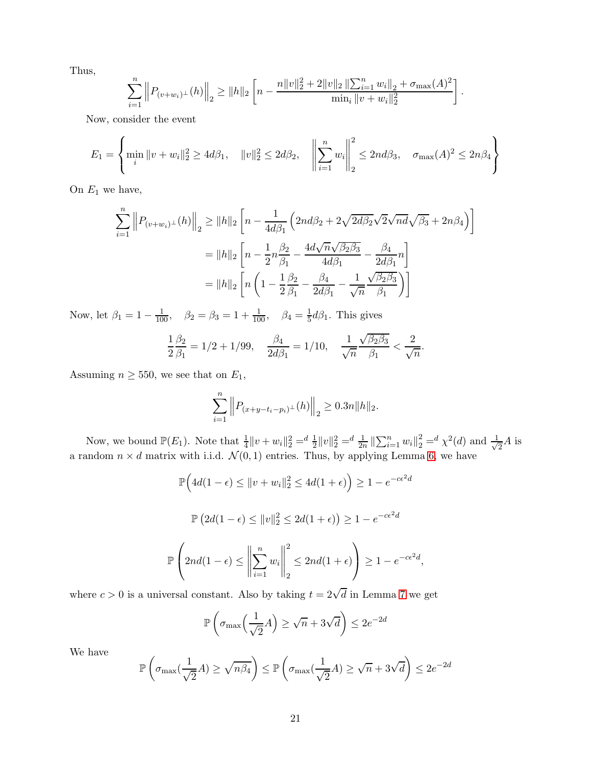Thus,

$$
\sum_{i=1}^n \left\| P_{(v+w_i)^{\perp}}(h) \right\|_2 \ge \|h\|_2 \left[ n - \frac{n \|v\|_2^2 + 2 \|v\|_2 \left\| \sum_{i=1}^n w_i \right\|_2 + \sigma_{\max}(A)^2}{\min_i \|v+w_i\|_2^2} \right].
$$

Now, consider the event

$$
E_1 = \left\{ \min_i \|v + w_i\|_2^2 \ge 4d\beta_1, \quad \|v\|_2^2 \le 2d\beta_2, \quad \left\|\sum_{i=1}^n w_i\right\|_2^2 \le 2nd\beta_3, \quad \sigma_{\max}(A)^2 \le 2n\beta_4 \right\}
$$

On  $E_1$  we have,

$$
\sum_{i=1}^{n} \left\| P_{(v+w_i)^{\perp}}(h) \right\|_{2} \ge \|h\|_{2} \left[ n - \frac{1}{4d\beta_{1}} \left( 2nd\beta_{2} + 2\sqrt{2d\beta_{2}} \sqrt{2d\beta_{1}} \sqrt{\beta_{3}} + 2n\beta_{4} \right) \right]
$$
  

$$
= \|h\|_{2} \left[ n - \frac{1}{2}n\frac{\beta_{2}}{\beta_{1}} - \frac{4d\sqrt{n}\sqrt{\beta_{2}\beta_{3}}}{4d\beta_{1}} - \frac{\beta_{4}}{2d\beta_{1}}n \right]
$$
  

$$
= \|h\|_{2} \left[ n \left( 1 - \frac{1}{2}\frac{\beta_{2}}{\beta_{1}} - \frac{\beta_{4}}{2d\beta_{1}} - \frac{1}{\sqrt{n}} \frac{\sqrt{\beta_{2}\beta_{3}}}{\beta_{1}} \right) \right]
$$

Now, let  $\beta_1 = 1 - \frac{1}{100}$ ,  $\beta_2 = \beta_3 = 1 + \frac{1}{100}$ ,  $\beta_4 = \frac{1}{5}$  $\frac{1}{5}d\beta_1$ . This gives

$$
\frac{1}{2}\frac{\beta_2}{\beta_1} = 1/2 + 1/99, \quad \frac{\beta_4}{2d\beta_1} = 1/10, \quad \frac{1}{\sqrt{n}}\frac{\sqrt{\beta_2\beta_3}}{\beta_1} < \frac{2}{\sqrt{n}}.
$$

Assuming  $n \geq 550$ , we see that on  $E_1$ ,

$$
\sum_{i=1}^{n} \left\| P_{(x+y-t_i-p_i)^{\perp}}(h) \right\|_2 \ge 0.3n \|h\|_2.
$$

Now, we bound  $\mathbb{P}(E_1)$ . Note that  $\frac{1}{4}||v+w_i||_2^2 = \frac{d}{2}||v||_2^2 = \frac{d}{2n}||\sum_{i=1}^n w_i||_2^2 = \frac{d}{2} \chi^2(d)$  and  $\frac{1}{\sqrt{2}}$  $\frac{1}{2}A$  is a random  $n \times d$  matrix with i.i.d.  $\mathcal{N}(0, 1)$  entries. Thus, by applying Lemma [6,](#page-14-1) we have

$$
\mathbb{P}\Big(4d(1-\epsilon) \le ||v+w_i||_2^2 \le 4d(1+\epsilon)\Big) \ge 1 - e^{-c\epsilon^2 d}
$$

$$
\mathbb{P}\left(2d(1-\epsilon) \le ||v||_2^2 \le 2d(1+\epsilon)\right) \ge 1 - e^{-c\epsilon^2 d}
$$

$$
\mathbb{P}\left(2nd(1-\epsilon) \le \left\|\sum_{i=1}^n w_i\right\|_2^2 \le 2nd(1+\epsilon)\right) \ge 1 - e^{-c\epsilon^2 d},
$$

where  $c > 0$  is a universal constant. Also by taking  $t = 2\sqrt{d}$  in Lemma [7](#page-14-3) we get

$$
\mathbb{P}\left(\sigma_{\max}\left(\frac{1}{\sqrt{2}}A\right) \ge \sqrt{n} + 3\sqrt{d}\right) \le 2e^{-2d}
$$

We have

$$
\mathbb{P}\left(\sigma_{\max}\left(\frac{1}{\sqrt{2}}A\right) \ge \sqrt{n\beta_4}\right) \le \mathbb{P}\left(\sigma_{\max}\left(\frac{1}{\sqrt{2}}A\right) \ge \sqrt{n} + 3\sqrt{d}\right) \le 2e^{-2d}
$$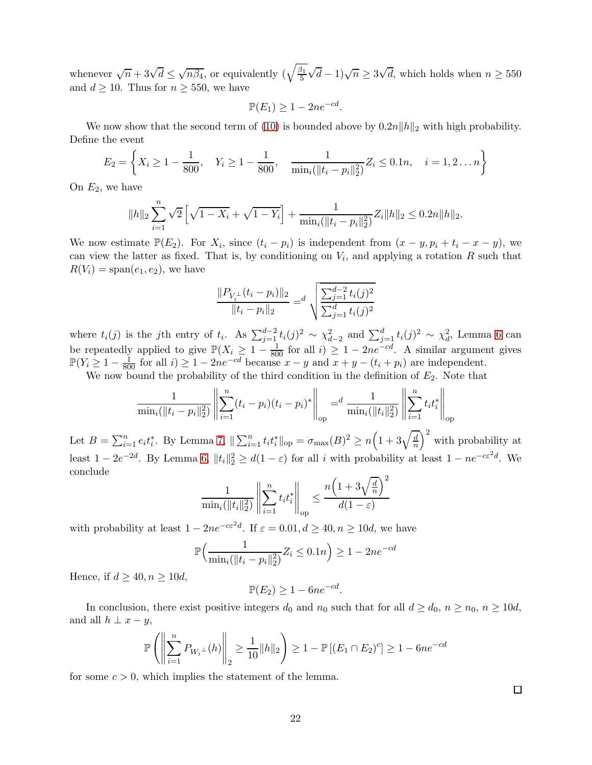whenever  $\sqrt{n} + 3\sqrt{d} \leq \sqrt{n\beta_4}$ , or equivalently  $(\sqrt{\frac{\beta_1}{5}})$ 5  $(\sqrt{d}-1)\sqrt{n} \ge 3\sqrt{d}$ , which holds when  $n \ge 550$ and  $d \ge 10$ . Thus for  $n \ge 550$ , we have

$$
\mathbb{P}(E_1) \ge 1 - 2ne^{-cd}.
$$

We now show that the second term of [\(10\)](#page-19-0) is bounded above by  $0.2n||h||_2$  with high probability. Define the event

$$
E_2 = \left\{ X_i \ge 1 - \frac{1}{800}, \quad Y_i \ge 1 - \frac{1}{800}, \quad \frac{1}{\min_i (\|t_i - p_i\|_2^2)} Z_i \le 0.1n, \quad i = 1, 2 \dots n \right\}
$$

On  $E_2$ , we have

$$
||h||_2 \sum_{i=1}^n \sqrt{2} \left[ \sqrt{1-X_i} + \sqrt{1-Y_i} \right] + \frac{1}{\min_i (||t_i - p_i||_2^2)} Z_i ||h||_2 \le 0.2n ||h||_2.
$$

We now estimate  $\mathbb{P}(E_2)$ . For  $X_i$ , since  $(t_i - p_i)$  is independent from  $(x - y, p_i + t_i - x - y)$ , we can view the latter as fixed. That is, by conditioning on  $V_i$ , and applying a rotation R such that  $R(V_i) = \text{span}(e_1, e_2)$ , we have

$$
\frac{\|P_{V_i^{\perp}}(t_i - p_i)\|_2}{\|t_i - p_i\|_2} = \frac{d}{\sqrt{\frac{\sum_{j=1}^{d-2} t_i(j)^2}{\sum_{j=1}^d t_i(j)^2}}}
$$

where  $t_i(j)$  is the jth entry of  $t_i$ . As  $\sum_{j=1}^{d-2} t_i(j)^2 \sim \chi_{d-2}^2$  and  $\sum_{j=1}^{d} t_i(j)^2 \sim \chi_{d}^2$ , Lemma [6](#page-14-1) can be repeatedly applied to give  $\mathbb{P}(X_i \geq 1 - \frac{1}{800}$  for all  $i) \geq 1 - 2ne^{-cd}$ . A similar argument gives  $\mathbb{P}(Y_i \geq 1 - \frac{1}{800}$  for all *i*) ≥ 1 − 2ne<sup>-cd</sup> because  $x - y$  and  $x + y - (t_i + p_i)$  are independent.

We now bound the probability of the third condition in the definition of  $E_2$ . Note that

$$
\frac{1}{\min_i(\|t_i - p_i\|_2^2)} \left\| \sum_{i=1}^n (t_i - p_i)(t_i - p_i)^* \right\|_{\text{op}} = \frac{1}{\min_i(\|t_i\|_2^2)} \left\| \sum_{i=1}^n t_i t_i^* \right\|_{\text{op}}
$$

Let  $B = \sum_{i=1}^{n} e_i t_i^*$ . By Lemma [7,](#page-14-3)  $\|\sum_{i=1}^{n} t_i t_i^*\|_{\text{op}} = \sigma_{\text{max}}(B)^2 \ge n\Big(1 + 3\sqrt{\frac{d}{n}}\Big)$  $\left(\frac{d}{n}\right)^2$  with probability at least  $1 - 2e^{-2d}$ . By Lemma [6,](#page-14-1)  $||t_i||_2^2 \ge d(1 - \varepsilon)$  for all i with probability at least  $1 - ne^{-c\varepsilon^2d}$ . We conclude

$$
\frac{1}{\min_i(\|t_i\|_2^2)} \left\| \sum_{i=1}^n t_i t_i^* \right\|_{\text{op}} \le \frac{n \left(1 + 3\sqrt{\frac{d}{n}}\right)^2}{d(1-\varepsilon)}
$$

with probability at least  $1 - 2ne^{-c\epsilon^2 d}$ . If  $\epsilon = 0.01, d \ge 40, n \ge 10d$ , we have

$$
\mathbb{P}\Big(\frac{1}{\min_i(\|t_i - p_i\|_2^2)} Z_i \le 0.1n\Big) \ge 1 - 2ne^{-cd}
$$

Hence, if  $d \geq 40, n \geq 10d$ ,

$$
\mathbb{P}(E_2) \ge 1 - 6ne^{-cd}
$$

.

In conclusion, there exist positive integers  $d_0$  and  $n_0$  such that for all  $d \geq d_0$ ,  $n \geq n_0$ ,  $n \geq 10d$ , and all  $h \perp x - y$ ,

$$
\mathbb{P}\left(\left\|\sum_{i=1}^n P_{W_i^{\perp}}(h)\right\|_2 \ge \frac{1}{10} \|h\|_2\right) \ge 1 - \mathbb{P}\left[(E_1 \cap E_2)^c\right] \ge 1 - 6n e^{-cd}
$$

for some  $c > 0$ , which implies the statement of the lemma.

 $\Box$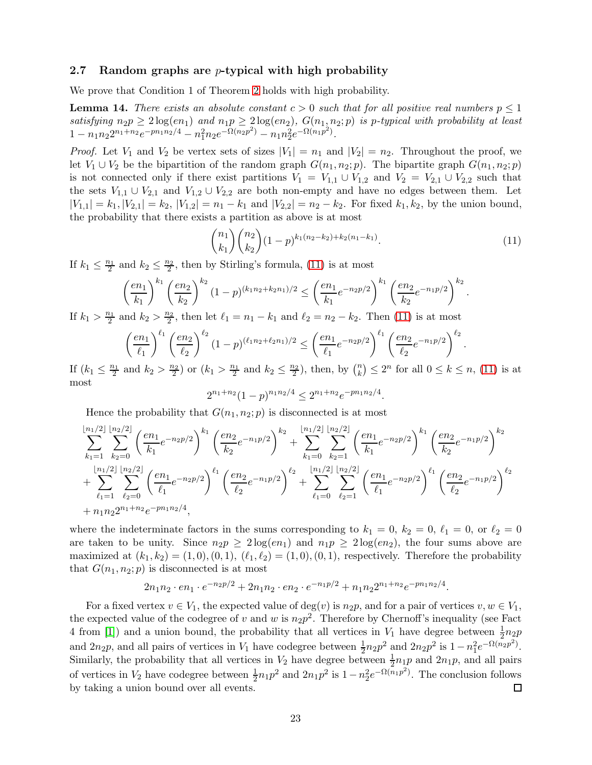#### <span id="page-22-0"></span>2.7 Random graphs are *p*-typical with high probability

We prove that Condition 1 of Theorem [2](#page-6-0) holds with high probability.

<span id="page-22-2"></span>**Lemma 14.** There exists an absolute constant  $c > 0$  such that for all positive real numbers  $p \leq 1$ *satisfying*  $n_2p \geq 2\log(en_1)$  and  $n_1p \geq 2\log(en_2)$ ,  $G(n_1, n_2; p)$  *is p-typical with probability at least*  $1 - n_1 n_2 2^{n_1 + n_2} e^{-p n_1 n_2/4} - n_1^2 n_2 e^{-\Omega(n_2 p^2)} - n_1 n_2^2 e^{-\Omega(n_1 p^2)}$ .

*Proof.* Let  $V_1$  and  $V_2$  be vertex sets of sizes  $|V_1| = n_1$  and  $|V_2| = n_2$ . Throughout the proof, we let  $V_1 \cup V_2$  be the bipartition of the random graph  $G(n_1, n_2; p)$ . The bipartite graph  $G(n_1, n_2; p)$ is not connected only if there exist partitions  $V_1 = V_{1,1} \cup V_{1,2}$  and  $V_2 = V_{2,1} \cup V_{2,2}$  such that the sets  $V_{1,1} \cup V_{2,1}$  and  $V_{1,2} \cup V_{2,2}$  are both non-empty and have no edges between them. Let  $|V_{1,1}| = k_1, |V_{2,1}| = k_2, |V_{1,2}| = n_1 - k_1$  and  $|V_{2,2}| = n_2 - k_2$ . For fixed  $k_1, k_2$ , by the union bound, the probability that there exists a partition as above is at most

<span id="page-22-1"></span>
$$
\binom{n_1}{k_1}\binom{n_2}{k_2}(1-p)^{k_1(n_2-k_2)+k_2(n_1-k_1)}.\tag{11}
$$

If  $k_1 \leq \frac{n_1}{2}$  and  $k_2 \leq \frac{n_2}{2}$ , then by Stirling's formula, [\(11\)](#page-22-1) is at most

$$
\left(\frac{en_1}{k_1}\right)^{k_1} \left(\frac{en_2}{k_2}\right)^{k_2} (1-p)^{(k_1n_2+k_2n_1)/2} \le \left(\frac{en_1}{k_1}e^{-n_2p/2}\right)^{k_1} \left(\frac{en_2}{k_2}e^{-n_1p/2}\right)^{k_2}.
$$

If  $k_1 > \frac{n_1}{2}$  and  $k_2 > \frac{n_2}{2}$ , then let  $\ell_1 = n_1 - k_1$  and  $\ell_2 = n_2 - k_2$ . Then [\(11\)](#page-22-1) is at most

$$
\left(\frac{en_1}{\ell_1}\right)^{\ell_1} \left(\frac{en_2}{\ell_2}\right)^{\ell_2} (1-p)^{(\ell_1 n_2 + \ell_2 n_1)/2} \le \left(\frac{en_1}{\ell_1}e^{-n_2 p/2}\right)^{\ell_1} \left(\frac{en_2}{\ell_2}e^{-n_1 p/2}\right)^{\ell_2}.
$$

If  $(k_1 \leq \frac{n_1}{2}$  and  $k_2 > \frac{n_2}{2}$  or  $(k_1 > \frac{n_1}{2}$  and  $k_2 \leq \frac{n_2}{2})$ , then, by  $\binom{n}{k}$  ${k \choose k} \leq 2^n$  for all  $0 \leq k \leq n$ , [\(11\)](#page-22-1) is at most

$$
2^{n_1+n_2}(1-p)^{n_1n_2/4} \le 2^{n_1+n_2}e^{-pn_1n_2/4}.
$$

Hence the probability that  $G(n_1, n_2; p)$  is disconnected is at most

$$
\sum_{k_1=1}^{\lfloor n_1/2\rfloor} \sum_{k_2=0}^{\lfloor n_2/2\rfloor} \left(\frac{en_1}{k_1} e^{-n_2 p/2}\right)^{k_1} \left(\frac{en_2}{k_2} e^{-n_1 p/2}\right)^{k_2} + \sum_{k_1=0}^{\lfloor n_1/2\rfloor} \sum_{k_2=1}^{\lfloor n_2/2\rfloor} \left(\frac{en_1}{k_1} e^{-n_2 p/2}\right)^{k_1} \left(\frac{en_2}{k_2} e^{-n_1 p/2}\right)^{k_2} \n+ \sum_{\ell_1=1}^{\lfloor n_1/2\rfloor} \sum_{\ell_2=0}^{\lfloor n_2/2\rfloor} \left(\frac{en_1}{\ell_1} e^{-n_2 p/2}\right)^{\ell_1} \left(\frac{en_2}{\ell_2} e^{-n_1 p/2}\right)^{\ell_2} + \sum_{\ell_1=0}^{\lfloor n_1/2\rfloor} \sum_{\ell_2=1}^{\lfloor n_2/2\rfloor} \left(\frac{en_1}{\ell_1} e^{-n_2 p/2}\right)^{\ell_1} \left(\frac{en_2}{\ell_2} e^{-n_1 p/2}\right)^{\ell_2} \n+ n_1 n_2 2^{n_1+n_2} e^{-p n_1 n_2/4},
$$

where the indeterminate factors in the sums corresponding to  $k_1 = 0$ ,  $k_2 = 0$ ,  $\ell_1 = 0$ , or  $\ell_2 = 0$ are taken to be unity. Since  $n_2p \geq 2\log(en_1)$  and  $n_1p \geq 2\log(en_2)$ , the four sums above are maximized at  $(k_1, k_2) = (1, 0), (0, 1), (\ell_1, \ell_2) = (1, 0), (0, 1)$ , respectively. Therefore the probability that  $G(n_1, n_2; p)$  is disconnected is at most

$$
2n_1n_2 \cdot en_1 \cdot e^{-n_2p/2} + 2n_1n_2 \cdot en_2 \cdot e^{-n_1p/2} + n_1n_22^{n_1+n_2}e^{-pn_1n_2/4}.
$$

For a fixed vertex  $v \in V_1$ , the expected value of  $\deg(v)$  is  $n_2p$ , and for a pair of vertices  $v, w \in V_1$ , the expected value of the codegree of v and w is  $n_2p^2$ . Therefore by Chernoff's inequality (see Fact 4 from [\[1\]](#page-24-1)) and a union bound, the probability that all vertices in  $V_1$  have degree between  $\frac{1}{2}n_2p$ and  $2n_2p$ , and all pairs of vertices in  $V_1$  have codegree between  $\frac{1}{2}n_2p^2$  and  $2n_2p^2$  is  $1-n_1^2e^{-\Omega(n_2p^2)}$ . Similarly, the probability that all vertices in  $V_2$  have degree between  $\frac{1}{2}n_1p$  and  $2n_1p$ , and all pairs of vertices in  $V_2$  have codegree between  $\frac{1}{2}n_1p^2$  and  $2n_1p^2$  is  $1-n_2^2e^{-\Omega(n_1p^2)}$ . The conclusion follows by taking a union bound over all events.  $\Box$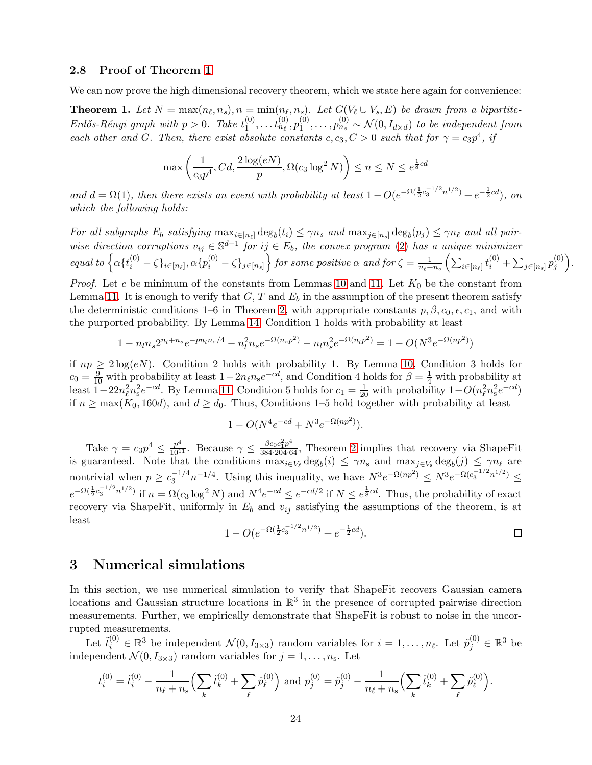## <span id="page-23-2"></span>2.8 Proof of Theorem [1](#page-23-0)

We can now prove the high dimensional recovery theorem, which we state here again for convenience:

<span id="page-23-0"></span>**Theorem 1.** Let  $N = \max(n_\ell, n_s)$ ,  $n = \min(n_\ell, n_s)$ . Let  $G(V_\ell \cup V_s, E)$  be drawn from a bipartite- $Erd\H{o}s-R\thinspace\acute{e}nyi$  graph with  $p>0$ . Take  $t_1^{(0)}$  $t_1^{(0)}, \ldots t_{n_\ell}^{(0)}, p_1^{(0)}$  $\mathcal{L}_1^{(0)}, \ldots, \mathcal{p}_{n_s}^{(0)} \sim \mathcal{N}(0, I_{d \times d})$  to be independent from *each other and* G. Then, there exist absolute constants  $c, c_3, C > 0$  such that for  $\gamma = c_3 p^4$ , if

$$
\max\left(\frac{1}{c_3p^4}, Cd, \frac{2\log(eN)}{p}, \Omega(c_3\log^2 N)\right) \le n \le N \le e^{\frac{1}{8}cd}
$$

and  $d = \Omega(1)$ , then there exists an event with probability at least  $1 - O(e^{-\Omega(\frac{1}{2}c_3^{-1/2}n^{1/2})} + e^{-\frac{1}{2}cd})$ , on *which the following holds:*

*For all subgraphs*  $E_b$  *satisfying*  $\max_{i \in [n_\ell]} \deg_b(t_i) \leq \gamma n_s$  *and*  $\max_{j \in [n_s]} \deg_b(p_j) \leq \gamma n_\ell$  *and all pairwise direction corruptions*  $v_{ij} \in \mathbb{S}^{d-1}$  *for*  $ij \in E_b$ *, the convex program* [\(2\)](#page-3-0) *has a unique minimizer*  $equal\ to\ \Big\{\alpha\{t_i^{(0)}-\zeta\}_{i\in[n_\ell]}, \alpha\{p_i^{(0)}-\zeta\}_{j\in[n_s]}\Big\} \ for\ some\ positive\ \alpha\ and\ for\ \zeta=\frac{1}{n_\ell+1}$  $\frac{1}{n_{\ell}+n_s}\left(\sum_{i\in[n_{\ell}]}t_i^{(0)}+\sum_{j\in[n_s]}p_j^{(0)}\right)$  $\binom{(0)}{j}$ .

*Proof.* Let c be minimum of the constants from Lemmas [10](#page-16-4) and [11.](#page-16-1) Let  $K_0$  be the constant from Lemma [11.](#page-16-1) It is enough to verify that  $G, T$  and  $E<sub>b</sub>$  in the assumption of the present theorem satisfy the deterministic conditions 1–6 in Theorem [2,](#page-6-0) with appropriate constants  $p, \beta, c_0, \epsilon, c_1$ , and with the purported probability. By Lemma [14,](#page-22-2) Condition 1 holds with probability at least

$$
1 - n_l n_s 2^{n_l + n_s} e^{-p n_l n_s/4} - n_l^2 n_s e^{-\Omega(n_s p^2)} - n_l n_s^2 e^{-\Omega(n_l p^2)} = 1 - O(N^3 e^{-\Omega(n p^2)})
$$

if  $np \geq 2\log(eN)$ . Condition 2 holds with probability 1. By Lemma [10,](#page-16-4) Condition 3 holds for  $c_0 = \frac{9}{10}$  with probability at least  $1 - 2n_\ell n_\text{s}e^{-cd}$ , and Condition 4 holds for  $\beta = \frac{1}{4}$  with probability at least  $1-22n_\ell^2 n_s^2 e^{-cd}$ . By Lemma [11,](#page-16-1) Condition 5 holds for  $c_1 = \frac{1}{20}$  with probability  $1-O(n_\ell^2 n_s^2 e^{-cd})$ if  $n \geq \max(K_0, 160d)$ , and  $d \geq d_0$ . Thus, Conditions 1–5 hold together with probability at least

$$
1 - O(N^4 e^{-cd} + N^3 e^{-\Omega(np^2)}).
$$

Take  $\gamma = c_3 p^4 \le \frac{p^4}{10^{11}}$ . Because  $\gamma \le \frac{\beta c_0 c_1^2 p^4}{384 \cdot 204 \cdot 64}$  $\gamma \le \frac{\beta c_0 c_1^2 p^4}{384 \cdot 204 \cdot 64}$  $\gamma \le \frac{\beta c_0 c_1^2 p^4}{384 \cdot 204 \cdot 64}$ , Theorem 2 implies that recovery via ShapeFit is guaranteed. Note that the conditions  $\max_{i \in V_{\ell}} \deg_b(i) \leq \gamma n_s$  and  $\max_{j \in V_s} \deg_b(j) \leq \gamma n_{\ell}$  are nontrivial when  $p \geq c_3^{-1/4} n^{-1/4}$ . Using this inequality, we have  $N^3 e^{-\Omega(np^2)} \leq N^3 e^{-\Omega(c_3^{-1/2} n^{1/2})} \leq$  $e^{-\Omega(\frac{1}{2}c_3^{-1/2}n^{1/2})}$  if  $n = \Omega(c_3 \log^2 N)$  and  $N^4 e^{-cd} \le e^{-cd/2}$  if  $N \le e^{\frac{1}{8}cd}$ . Thus, the probability of exact recovery via ShapeFit, uniformly in  $E_b$  and  $v_{ij}$  satisfying the assumptions of the theorem, is at least

$$
1 - O(e^{-\Omega(\frac{1}{2}c_3^{-1/2}n^{1/2})} + e^{-\frac{1}{2}cd}).
$$

# <span id="page-23-1"></span>3 Numerical simulations

In this section, we use numerical simulation to verify that ShapeFit recovers Gaussian camera locations and Gaussian structure locations in  $\mathbb{R}^3$  in the presence of corrupted pairwise direction measurements. Further, we empirically demonstrate that ShapeFit is robust to noise in the uncorrupted measurements.

Let  $\tilde{t}_i^{(0)} \in \mathbb{R}^3$  be independent  $\mathcal{N}(0, I_{3 \times 3})$  random variables for  $i = 1, \ldots, n_\ell$ . Let  $\tilde{p}_j^{(0)} \in \mathbb{R}^3$  be independent  $\mathcal{N}(0, I_{3\times3})$  random variables for  $j = 1, \ldots, n_{s}$ . Let

$$
t_i^{(0)} = \tilde{t}_i^{(0)} - \frac{1}{n_\ell + n_\mathrm{s}} \Big( \sum_k \tilde{t}_k^{(0)} + \sum_\ell \tilde{p}_\ell^{(0)} \Big) \text{ and } p_j^{(0)} = \tilde{p}_j^{(0)} - \frac{1}{n_\ell + n_\mathrm{s}} \Big( \sum_k \tilde{t}_k^{(0)} + \sum_\ell \tilde{p}_\ell^{(0)} \Big).
$$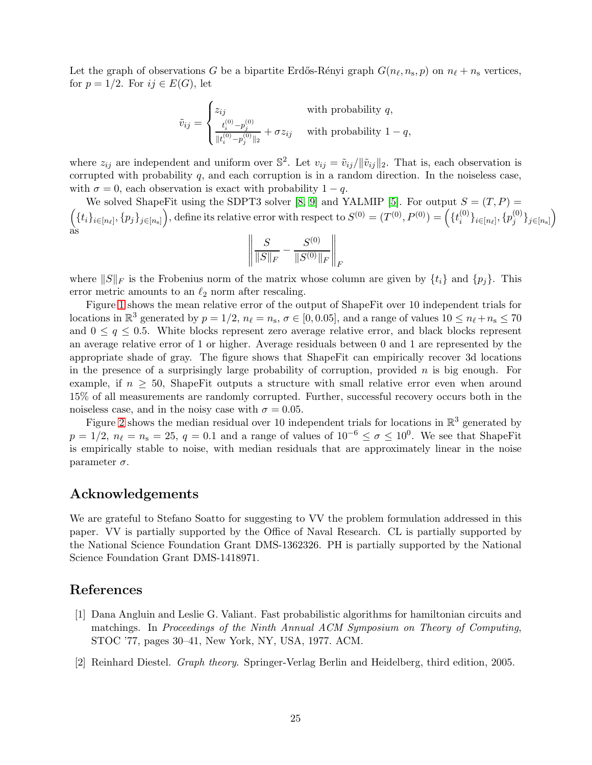Let the graph of observations G be a bipartite Erdős-Rényi graph  $G(n_\ell, n_s, p)$  on  $n_\ell + n_s$  vertices, for  $p = 1/2$ . For  $ij \in E(G)$ , let

$$
\tilde{v}_{ij} = \begin{cases} z_{ij} & \text{with probability } q, \\ \frac{t_i^{(0)} - p_j^{(0)}}{\|t_i^{(0)} - p_j^{(0)}\|_2} + \sigma z_{ij} & \text{with probability } 1 - q, \end{cases}
$$

where  $z_{ij}$  are independent and uniform over  $\mathbb{S}^2$ . Let  $v_{ij} = \tilde{v}_{ij}/\|\tilde{v}_{ij}\|_2$ . That is, each observation is corrupted with probability  $q$ , and each corruption is in a random direction. In the noiseless case, with  $\sigma = 0$ , each observation is exact with probability  $1 - q$ .

 $(f_{i}\}_{i\in[n_{\ell}]},\{p_{j}\}_{j\in[n_{\mathrm{S}}]})$ , define its relative error with respect to  $S^{(0)}=(T^{(0)},P^{(0)})=\left(\{t_{i}^{(0)},\ldots,t_{i}\}_{i\in[n_{\mathrm{S}}]}\right)$ We solved ShapeFit using the SDPT3 solver [\[8,](#page-26-7) [9\]](#page-26-8) and YALMIP [\[5\]](#page-26-9). For output  $S = (T, P)$  $\{p_j^{(0)}\}_{i \in [n_\ell]}, \{p_j^{(0)}\}$  $_{j}^{\left( 0\right) }\}_{j\in\left[ n_{\mathrm{s}}\right] }\Big)$ as

$$
\left\| \frac{S}{\|S\|_F} - \frac{S^{(0)}}{\|S^{(0)}\|_F} \right\|_F
$$

where  $||S||_F$  is the Frobenius norm of the matrix whose column are given by  $\{t_i\}$  and  $\{p_j\}$ . This error metric amounts to an  $\ell_2$  norm after rescaling.

Figure [1](#page-25-0) shows the mean relative error of the output of ShapeFit over 10 independent trials for locations in  $\mathbb{R}^3$  generated by  $p = 1/2$ ,  $n_\ell = n_s$ ,  $\sigma \in [0, 0.05]$ , and a range of values  $10 \le n_\ell + n_s \le 70$ and  $0 \leq q \leq 0.5$ . White blocks represent zero average relative error, and black blocks represent an average relative error of 1 or higher. Average residuals between 0 and 1 are represented by the appropriate shade of gray. The figure shows that ShapeFit can empirically recover 3d locations in the presence of a surprisingly large probability of corruption, provided  $n$  is big enough. For example, if  $n \geq 50$ , ShapeFit outputs a structure with small relative error even when around 15% of all measurements are randomly corrupted. Further, successful recovery occurs both in the noiseless case, and in the noisy case with  $\sigma = 0.05$ .

Figure [2](#page-25-1) shows the median residual over 10 independent trials for locations in  $\mathbb{R}^3$  generated by  $p = 1/2$ ,  $n_{\ell} = n_{\rm s} = 25$ ,  $q = 0.1$  and a range of values of  $10^{-6} \leq \sigma \leq 10^{0}$ . We see that ShapeFit is empirically stable to noise, with median residuals that are approximately linear in the noise parameter  $\sigma$ .

# Acknowledgements

We are grateful to Stefano Soatto for suggesting to VV the problem formulation addressed in this paper. VV is partially supported by the Office of Naval Research. CL is partially supported by the National Science Foundation Grant DMS-1362326. PH is partially supported by the National Science Foundation Grant DMS-1418971.

# <span id="page-24-1"></span>References

- [1] Dana Angluin and Leslie G. Valiant. Fast probabilistic algorithms for hamiltonian circuits and matchings. In *Proceedings of the Ninth Annual ACM Symposium on Theory of Computing*, STOC '77, pages 30–41, New York, NY, USA, 1977. ACM.
- <span id="page-24-0"></span>[2] Reinhard Diestel. *Graph theory*. Springer-Verlag Berlin and Heidelberg, third edition, 2005.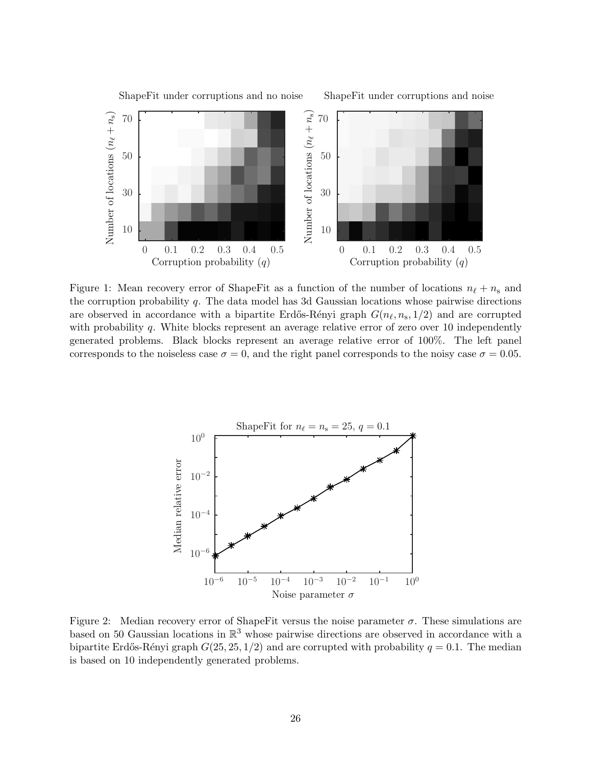

<span id="page-25-0"></span>Figure 1: Mean recovery error of ShapeFit as a function of the number of locations  $n_{\ell} + n_{\rm s}$  and the corruption probability q. The data model has 3d Gaussian locations whose pairwise directions are observed in accordance with a bipartite Erdős-Rényi graph  $G(n_\ell, n_s, 1/2)$  and are corrupted with probability q. White blocks represent an average relative error of zero over 10 independently generated problems. Black blocks represent an average relative error of 100%. The left panel corresponds to the noiseless case  $\sigma = 0$ , and the right panel corresponds to the noisy case  $\sigma = 0.05$ .

PSfrag replacements



<span id="page-25-1"></span>Figure 2: Median recovery error of ShapeFit versus the noise parameter  $\sigma$ . These simulations are based on 50 Gaussian locations in  $\mathbb{R}^3$  whose pairwise directions are observed in accordance with a bipartite Erdős-Rényi graph  $G(25, 25, 1/2)$  and are corrupted with probability  $q = 0.1$ . The median is based on 10 independently generated problems.